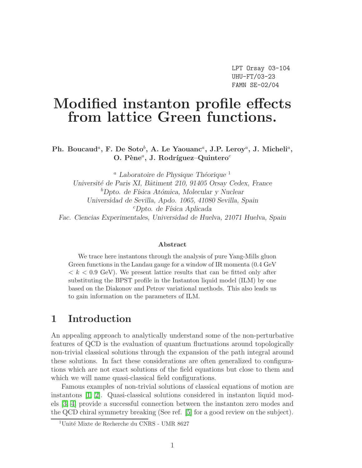# Modified instanton profile effects from lattice Green functions.

Ph. Boucaud<sup>a</sup>, F. De Soto<sup>b</sup>, A. Le Yaouanc<sup>a</sup>, J.P. Leroy<sup>a</sup>, J. Micheli<sup>a</sup>, O. Pène<sup>a</sup>, J. Rodríguez-Quintero<sup>c</sup>

<sup>a</sup> Laboratoire de Physique Théorique  $^1$ Université de Paris XI, Bâtiment 210, 91405 Orsay Cedex, France  ${}^b$ Dpto. de Física Atómica, Molecular y Nuclear Universidad de Sevilla, Apdo. 1065, 41080 Sevilla, Spain  ${}^c$ Dpto. de Física Aplicada Fac. Ciencias Experimentales, Universidad de Huelva, 21071 Huelva, Spain

#### Abstract

We trace here instantons through the analysis of pure Yang-Mills gluon Green functions in the Landau gauge for a window of IR momenta (0.4 GeV  $k < 0.9$  GeV). We present lattice results that can be fitted only after substituting the BPST profile in the Instanton liquid model (ILM) by one based on the Diakonov and Petrov variational methods. This also leads us to gain information on the parameters of ILM.

## 1 Introduction

An appealing approach to analytically understand some of the non-perturbative features of QCD is the evaluation of quantum fluctuations around topologically non-trivial classical solutions through the expansion of the path integral around these solutions. In fact these considerations are often generalized to configurations which are not exact solutions of the field equations but close to them and which we will name quasi-classical field configurations.

Famous examples of non-trivial solutions of classical equations of motion are instantons [\[1,](#page-29-0) [2\]](#page-29-1). Quasi-classical solutions considered in instanton liquid models [\[3,](#page-29-2) [4\]](#page-30-0) provide a successful connection between the instanton zero modes and the QCD chiral symmetry breaking (See ref. [\[5\]](#page-30-1) for a good review on the subject).

<sup>&</sup>lt;sup>1</sup>Unité Mixte de Recherche du CNRS - UMR 8627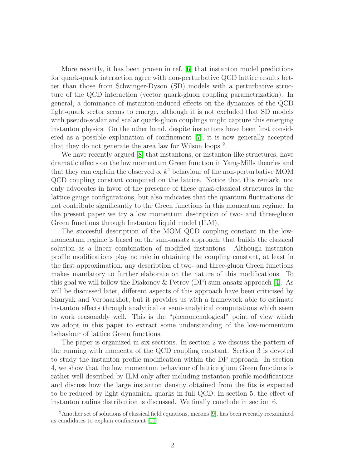More recently, it has been proven in ref. [\[6\]](#page-30-2) that instanton model predictions for quark-quark interaction agree with non-perturbative QCD lattice results better than those from Schwinger-Dyson (SD) models with a perturbative structure of the QCD interaction (vector quark-gluon coupling parametrization). In general, a dominance of instanton-induced effects on the dynamics of the QCD light-quark sector seems to emerge, although it is not excluded that SD models with pseudo-scalar and scalar quark-gluon couplings might capture this emerging instanton physics. On the other hand, despite instantons have been first considered as a possible explanation of confinement [\[7\]](#page-30-3), it is now generally accepted that they do not generate the area law for Wilson loops<sup>2</sup>.

We have recently argued [\[8\]](#page-30-4) that instantons, or instanton-like structures, have dramatic effects on the low momentum Green function in Yang-Mills theories and that they can explain the observed  $\propto k^4$  behaviour of the non-perturbative MOM QCD coupling constant computed on the lattice. Notice that this remark, not only advocates in favor of the presence of these quasi-classical structures in the lattice gauge configurations, but also indicates that the quantum fluctuations do not contribute significantly to the Green functions in this momentum regime. In the present paper we try a low momentum description of two- and three-gluon Green functions through Instanton liquid model (ILM).

The succesful description of the MOM QCD coupling constant in the lowmomentum regime is based on the sum-ansatz approach, that builds the classical solution as a linear combination of modified instantons. Although instanton profile modifications play no role in obtaining the coupling constant, at least in the first approximation, any description of two- and three-gluon Green functions makes mandatory to further elaborate on the nature of this modifications. To this goal we will follow the Diakonov  $\&$  Petrov (DP) sum-ansatz approach [\[4\]](#page-30-0). As will be discussed later, different aspects of this approach have been criticised by Shuryak and Verbaarshot, but it provides us with a framework able to estimate instanton effects through analytical or semi-analytical computations which seem to work reasonably well. This is the "phenomenological" point of view which we adopt in this paper to extract some understanding of the low-momentum behaviour of lattice Green functions.

The paper is organized in six sections. In section 2 we discuss the pattern of the running with momenta of the QCD coupling constant. Section 3 is devoted to study the instanton profile modification within the DP approach. In section 4, we show that the low momentum behaviour of lattice gluon Green functions is rather well described by ILM only after including instanton profile modifications and discuss how the large instanton density obtained from the fits is expected to be reduced by light dynamical quarks in full QCD. In section 5, the effect of instanton radius distribution is discussed. We finally conclude in section 6.

<sup>&</sup>lt;sup>2</sup>Another set of solutions of classical field equations, merons [\[9\]](#page-30-5), has been recently reexamined as candidates to explain confinement [\[10\]](#page-30-6).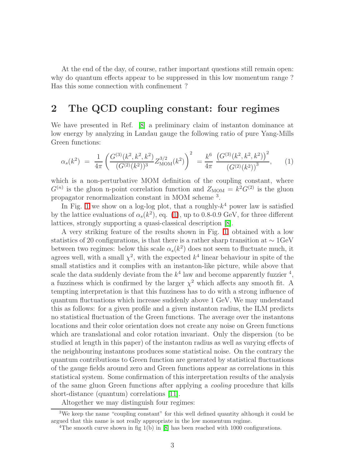At the end of the day, of course, rather important questions still remain open: why do quantum effects appear to be suppressed in this low momentum range ? Has this some connection with confinement ?

# <span id="page-2-1"></span>2 The QCD coupling constant: four regimes

We have presented in Ref. [\[8\]](#page-30-4) a preliminary claim of instanton dominance at low energy by analyzing in Landau gauge the following ratio of pure Yang-Mills Green functions:

$$
\alpha_s(k^2) = \frac{1}{4\pi} \left( \frac{G^{(3)}(k^2, k^2, k^2)}{(G^{(2)}(k^2))^3} Z_{\text{MOM}}^{3/2}(k^2) \right)^2 = \frac{k^6}{4\pi} \frac{\left( G^{(3)}(k^2, k^2, k^2) \right)^2}{\left( G^{(2)}(k^2) \right)^3}, \quad (1)
$$

<span id="page-2-0"></span>which is a non-perturbative MOM definition of the coupling constant, where  $G^{(n)}$  is the gluon n-point correlation function and  $Z_{\text{MOM}} = k^2 G^{(2)}$  is the gluon propagator renormalization constant in MOM scheme <sup>3</sup> .

In Fig. [1](#page-4-0) we show on a log-log plot, that a roughly- $k^4$  power law is satisfied by the lattice evaluations of  $\alpha_s(k^2)$ , eq. [\(1\)](#page-2-0), up to 0.8-0.9 GeV, for three different lattices, strongly supporting a quasi-classical description [\[8\]](#page-30-4).

A very striking feature of the results shown in Fig. [1,](#page-4-0) obtained with a low statistics of 20 configurations, is that there is a rather sharp transition at ∼ 1GeV between two regimes: below this scale  $\alpha_s(k^2)$  does not seem to fluctuate much, it agrees well, with a small  $\chi^2$ , with the expected  $k^4$  linear behaviour in spite of the small statistics and it complies with an instanton-like picture, while above that scale the data suddenly deviate from the  $k^4$  law and become apparently fuzzier<sup>4</sup>, a fuzziness which is confirmed by the larger  $\chi^2$  which affects any smooth fit. A tempting interpretation is that this fuzziness has to do with a strong influence of quantum fluctuations which increase suddenly above 1 GeV. We may understand this as follows: for a given profile and a given instanton radius, the ILM predicts no statistical fluctuation of the Green functions. The average over the instantons locations and their color orientation does not create any noise on Green functions which are translational and color rotation invariant. Only the dispersion (to be studied at length in this paper) of the instanton radius as well as varying effects of the neighbouring instantons produces some statistical noise. On the contrary the quantum contributions to Green function are generated by statistical fluctuations of the gauge fields around zero and Green functions appear as correlations in this statistical system. Some confirmation of this interpretation results of the analysis of the same gluon Green functions after applying a cooling procedure that kills short-distance (quantum) correlations [\[11\]](#page-30-7).

Altogether we may distinguish four regimes:

<sup>3</sup>We keep the name "coupling constant" for this well defined quantity although it could be argued that this name is not really appropriate in the low momentum regime.

<sup>&</sup>lt;sup>4</sup>The smooth curve shown in fig  $1(b)$  in [\[8\]](#page-30-4) has been reached with 1000 configurations.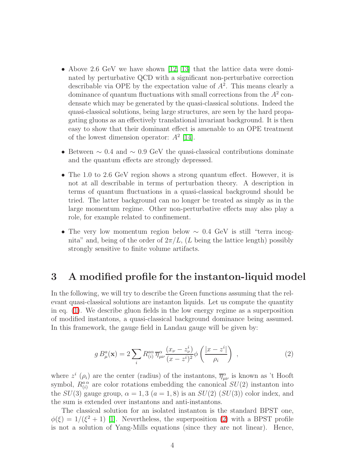- Above 2.6 GeV we have shown [\[12,](#page-30-8) [13\]](#page-30-9) that the lattice data were dominated by perturbative QCD with a significant non-perturbative correction describable via OPE by the expectation value of  $A<sup>2</sup>$ . This means clearly a dominance of quantum fluctuations with small corrections from the  $A<sup>2</sup>$  condensate which may be generated by the quasi-classical solutions. Indeed the quasi-classical solutions, being large structures, are seen by the hard propagating gluons as an effectively translational invariant background. It is then easy to show that their dominant effect is amenable to an OPE treatment of the lowest dimension operator:  $A^2$  [\[14\]](#page-30-10).
- Between  $\sim 0.4$  and  $\sim 0.9$  GeV the quasi-classical contributions dominate and the quantum effects are strongly depressed.
- The 1.0 to 2.6 GeV region shows a strong quantum effect. However, it is not at all describable in terms of perturbation theory. A description in terms of quantum fluctuations in a quasi-classical background should be tried. The latter background can no longer be treated as simply as in the large momentum regime. Other non-perturbative effects may also play a role, for example related to confinement.
- The very low momentum region below  $\sim 0.4$  GeV is still "terra incognita" and, being of the order of  $2\pi/L$ , (L being the lattice length) possibly strongly sensitive to finite volume artifacts.

### 3 A modified profile for the instanton-liquid model

In the following, we will try to describe the Green functions assuming that the relevant quasi-classical solutions are instanton liquids. Let us compute the quantity in eq. [\(1\)](#page-2-0). We describe gluon fields in the low energy regime as a superposition of modified instantons, a quasi-classical background dominance being assumed. In this framework, the gauge field in Landau gauge will be given by:

$$
g B_{\mu}^{a}(\mathbf{x}) = 2 \sum_{i} R_{(i)}^{a\alpha} \overline{\eta}_{\mu\nu}^{\alpha} \frac{(x_{\nu} - z_{\nu}^{i})}{(x - z^{i})^{2}} \phi \left(\frac{|x - z^{i}|}{\rho_{i}}\right) , \qquad (2)
$$

<span id="page-3-0"></span>where  $z^i$  ( $\rho_i$ ) are the center (radius) of the instantons,  $\overline{\eta}_{\mu\nu}^{\alpha}$  is known as 't Hooft symbol,  $R_{(i)}^{a\alpha}$  are color rotations embedding the canonical  $SU(2)$  instanton into the  $SU(3)$  gauge group,  $\alpha = 1, 3$   $(a = 1, 8)$  is an  $SU(2)$   $(SU(3))$  color index, and the sum is extended over instantons and anti-instantons.

The classical solution for an isolated instanton is the standard BPST one,  $\phi(\xi) = 1/(\xi^2 + 1)$  [\[1\]](#page-29-0). Nevertheless, the superposition [\(2\)](#page-3-0) with a BPST profile is not a solution of Yang-Mills equations (since they are not linear). Hence,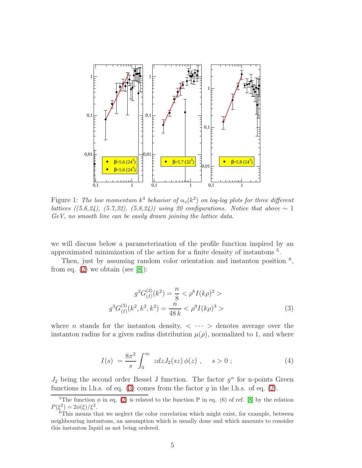

<span id="page-4-0"></span>Figure 1: The low momentum  $k^4$  behavior of  $\alpha_s(k^2)$  on log-log plots for three different lattices ((5.6,24), (5.7,32), (5.8,24)) using 20 configurations. Notice that above  $\sim 1$ GeV, no smooth line can be easily drawn joining the lattice data.

we will discuss below a parameterization of the profile function inspired by an approximated minimization of the action for a finite density of instantons <sup>5</sup> .

Then, just by assuming random color orientation and instanton position  $<sup>6</sup>$ ,</sup> from eq.  $(2)$  we obtain (see [\[8\]](#page-30-4)):

<span id="page-4-1"></span>
$$
g^{2}G_{(I)}^{(2)}(k^{2}) = \frac{n}{8} < \rho^{6}I(k\rho)^{2} >
$$

$$
g^{3}G_{(I)}^{(3)}(k^{2}, k^{2}, k^{2}) = \frac{n}{48 k} < \rho^{9}I(k\rho)^{3} >
$$
(3)

where *n* stands for the instanton density,  $\langle \cdots \rangle$  denotes average over the instanton radius for a given radius distribution  $\mu(\rho)$ , normalized to 1, and where

$$
I(s) = \frac{8\pi^2}{s} \int_0^\infty z \, dz J_2(sz) \, \phi(z) \;, \quad s > 0 \; ; \tag{4}
$$

 $J_2$  being the second order Bessel J function. The factor  $g^n$  for n-points Green functions in l.h.s. of eq. [\(3\)](#page-4-1) comes from the factor g in the l.h.s. of eq. [\(2\)](#page-3-0).

<sup>&</sup>lt;sup>5</sup>The function  $\phi$  in eq. [\(2\)](#page-3-0) is related to the function P in eq. (6) of ref. [\[8\]](#page-30-4) by the relation  $P(\xi^2) = 2\phi(\xi)/\xi^2$ .

<sup>&</sup>lt;sup>6</sup>This means that we neglect the color correlation which might exist, for example, between neighbouring instantons, an assumption which is usually done and which amounts to consider this instanton liquid as not being ordered.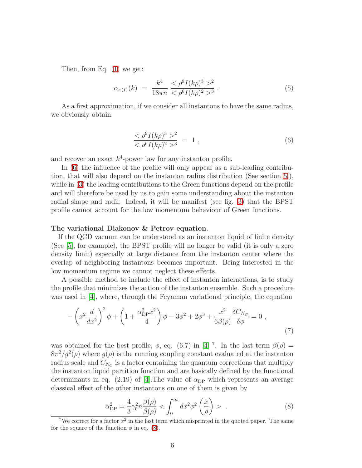<span id="page-5-3"></span>Then, from Eq. [\(1\)](#page-2-0) we get:

$$
\alpha_{s(I)}(k) = \frac{k^4}{18\pi n} \frac{<\rho^9 I(k\rho)^3 >^2}{< \rho^6 I(k\rho)^2 >^3} \,. \tag{5}
$$

As a first approximation, if we consider all instantons to have the same radius, we obviously obtain:

<span id="page-5-0"></span>
$$
\frac{<\rho^9 I(k\rho)^3>^2}{<\rho^6 I(k\rho)^2>^3} = 1 , \qquad (6)
$$

and recover an exact  $k^4$ -power law for any instanton profile.

In [\(6\)](#page-5-0) the influence of the profile will only appear as a sub-leading contribution, that will also depend on the instanton radius distribution (See section [5.](#page-15-0)), while in [\(3\)](#page-4-1) the leading contributions to the Green functions depend on the profile and will therefore be used by us to gain some understanding about the instanton radial shape and radii. Indeed, it will be manifest (see fig. [3\)](#page-9-0) that the BPST profile cannot account for the low momentum behaviour of Green functions.

#### The variational Diakonov & Petrov equation.

If the QCD vacuum can be understood as an instanton liquid of finite density (See [\[5\]](#page-30-1), for example), the BPST profile will no longer be valid (it is only a zero density limit) especially at large distance from the instanton center where the overlap of neighboring instantons becomes important. Being interested in the low momentum regime we cannot neglect these effects.

A possible method to include the effect of instanton interactions, is to study the profile that minimizes the action of the instanton ensemble. Such a procedure was used in [\[4\]](#page-30-0), where, through the Feynman variational principle, the equation

$$
-\left(x^2 \frac{d}{dx^2}\right)^2 \phi + \left(1 + \frac{\alpha_{\rm DP}^2 x^2}{4}\right) \phi - 3\phi^2 + 2\phi^3 + \frac{x^2}{6\beta(\rho)} \frac{\delta C_{N_C}}{\delta \phi} = 0,
$$
\n(7)

<span id="page-5-2"></span>was obtained for the best profile,  $\phi$ , eq. (6.7) in [\[4\]](#page-30-0)<sup>7</sup>. In the last term  $\beta(\rho)$  =  $8\pi^2/g^2(\rho)$  where  $g(\rho)$  is the running coupling constant evaluated at the instanton radius scale and  $C_{N_C}$  is a factor containing the quantum corrections that multiply the instanton liquid partition function and are basically defined by the functional determinants in eq. (2.19) of [\[4\]](#page-30-0). The value of  $\alpha_{\text{DP}}$  which represents an average classical effect of the other instantons on one of them is given by

$$
\alpha_{\rm DP}^2 = \frac{4}{3} \gamma_0^2 n \frac{\beta(\overline{\rho})}{\beta(\rho)} < \int_0^\infty dx^2 \phi^2 \left(\frac{x}{\rho}\right) > . \tag{8}
$$

<span id="page-5-1"></span><sup>&</sup>lt;sup>7</sup>We correct for a factor  $x^2$  in the last term which misprinted in the quoted paper. The same for the square of the function  $\phi$  in eq. [\(8\)](#page-5-1).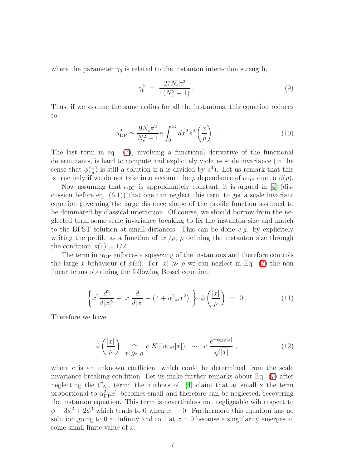where the parameter  $\gamma_0$  is related to the instanton interaction strength,

$$
\gamma_0^2 = \frac{27N_c\pi^2}{4(N_c^2 - 1)} \,. \tag{9}
$$

Thus, if we assume the same radius for all the instantons, this equation reduces to

$$
\alpha_{\rm DP}^2 \simeq \frac{9N_c \pi^2}{N_c^2 - 1} n \int_0^\infty dx^2 \phi^2 \left(\frac{x}{\rho}\right) \ . \tag{10}
$$

<span id="page-6-1"></span>The last term in eq. [\(7\)](#page-5-2), involving a functional derivative of the functional determinants, is hard to compute and explicitely violates scale invariance (in the sense that  $\phi(\frac{x}{a})$  $\frac{x}{a}$ ) is still a solution if n is divided by  $a^4$ ). Let us remark that this is true only if we do not take into account the  $\rho$  dependance of  $\alpha_{\text{DP}}$  due to  $\beta(\rho)$ .

Now assuming that  $\alpha_{\text{DP}}$  is approximately constant, it is argued in [\[4\]](#page-30-0) (discussion before eq.  $(6.1)$  that one can neglect this term to get a scale invariant equation governing the large distance shape of the profile function assumed to be dominated by classical interaction. Of course, we should borrow from the neglected term some scale invariance breaking to fix the instanton size and match to the BPST solution at small distances. This can be done  $e.g.$  by explicitely writing the profile as a function of  $|x|/\rho$ ,  $\rho$  defining the instanton size through the condition  $\phi(1) = 1/2$ .

The term in  $\alpha_{\text{DP}}$  enforces a squeezing of the instantons and therefore controls the large x behaviour of  $\phi(x)$ . For  $|x| \gg \rho$  we can neglect in Eq. [\(7\)](#page-5-2) the non linear terms obtaining the following Bessel equation:

$$
\left\{ x^2 \frac{d^2}{d|x|^2} + |x| \frac{d}{d|x|} - \left( 4 + \alpha_{\text{DP}}^2 x^2 \right) \right\} \phi \left( \frac{|x|}{\rho} \right) = 0 \,. \tag{11}
$$

<span id="page-6-0"></span>Therefore we have:

$$
\phi\left(\frac{|x|}{\rho}\right) \underset{x \gg \rho}{\sim} c K_2(\alpha_{\text{DP}}|x|) \sim c \frac{e^{-\alpha_{\text{DP}}|x|}}{\sqrt{|x|}}, \qquad (12)
$$

<span id="page-6-2"></span>where c is an unknown coefficient which could be determined from the scale invariance breaking condition. Let us make further remarks about Eq. [\(7\)](#page-5-2) after neglecting the  $C_{N_C}$  term: the authors of [\[4\]](#page-30-0) claim that at small x the term proportional to  $\alpha_{\text{DP}}^2 x^2$  becomes small and therefore can be neglected, recovering the instanton equation. This term is nevertheless not negligeable wih respect to  $\phi - 3\phi^2 + 2\phi^3$  which tends to 0 when  $x \to 0$ . Furthermore this equation has no solution going to 0 at infinity and to 1 at  $x = 0$  because a singularity emerges at some small finite value of  $x$ .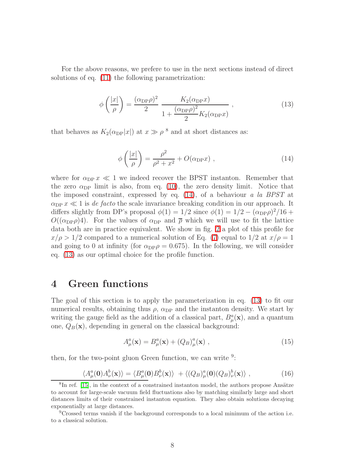For the above reasons, we prefere to use in the next sections instead of direct solutions of eq. [\(11\)](#page-6-0) the following parametrization:

$$
\phi\left(\frac{|x|}{\rho}\right) = \frac{(\alpha_{\text{DP}}\rho)^2}{2} \frac{K_2(\alpha_{\text{DP}}x)}{1 + \frac{(\alpha_{\text{DP}}\rho)^2}{2}K_2(\alpha_{\text{DP}}x)},\tag{13}
$$

<span id="page-7-1"></span>that behaves as  $K_2(\alpha_{\text{DP}}|x|)$  at  $x \gg \rho^8$  and at short distances as:

$$
\phi\left(\frac{|x|}{\rho}\right) = \frac{\rho^2}{\rho^2 + x^2} + O(\alpha_{\text{DP}} x) ,\qquad (14)
$$

<span id="page-7-0"></span>where for  $\alpha_{\text{DP}} x \ll 1$  we indeed recover the BPST instanton. Remember that the zero  $\alpha_{\text{DP}}$  limit is also, from eq. [\(10\)](#page-6-1), the zero density limit. Notice that the imposed constraint, expressed by eq.  $(14)$ , of a behaviour a la BPST at  $\alpha_{\text{DP}} x \ll 1$  is de facto the scale invariance breaking condition in our approach. It differs slightly from DP's proposal  $\phi(1) = 1/2$  since  $\phi(1) = 1/2 - (\alpha_{\text{DP}}\rho)^2/16 +$  $O((\alpha_{\text{DP}}\rho)4)$ . For the values of  $\alpha_{\text{DP}}$  and  $\bar{\rho}$  which we will use to fit the lattice data both are in practice equivalent. We show in fig. [2](#page-8-0) a plot of this profile for  $x/\rho > 1/2$  compared to a numerical solution of Eq. [\(7\)](#page-5-2) equal to  $1/2$  at  $x/\rho = 1$ and going to 0 at infinity (for  $\alpha_{\text{DP}}\rho = 0.675$ ). In the following, we will consider eq. [\(13\)](#page-7-1) as our optimal choice for the profile function.

### <span id="page-7-2"></span>4 Green functions

The goal of this section is to apply the parameterization in eq. [\(13\)](#page-7-1) to fit our numerical results, obtaining thus  $\rho$ ,  $\alpha_{\text{DP}}$  and the instanton density. We start by writing the gauge field as the addition of a classical part,  $B^a_\mu(\mathbf{x})$ , and a quantum one,  $Q_B(\mathbf{x})$ , depending in general on the classical background:

$$
A_{\mu}^{a}(\mathbf{x}) = B_{\mu}^{a}(\mathbf{x}) + (Q_{B})_{\mu}^{a}(\mathbf{x}), \qquad (15)
$$

then, for the two-point gluon Green function, we can write  $9$ :

$$
\langle A^a_\mu(\mathbf{0}) A^b_\nu(\mathbf{x}) \rangle = \langle B^a_\mu(\mathbf{0}) B^b_\nu(\mathbf{x}) \rangle + \langle (Q_B)^a_\mu(\mathbf{0}) (Q_B)^b_\nu(\mathbf{x}) \rangle , \qquad (16)
$$

<span id="page-7-3"></span> ${}^{8}$ In ref. [\[15\]](#page-30-11), in the context of a constrained instanton model, the authors propose Ansätze to account for large-scale vacuum field fluctuations also by matching similarly large and short distances limits of their constrained instanton equation. They also obtain solutions decaying exponentially at large distances.

<sup>9</sup>Crossed terms vanish if the background corresponds to a local minimum of the action i.e. to a classical solution.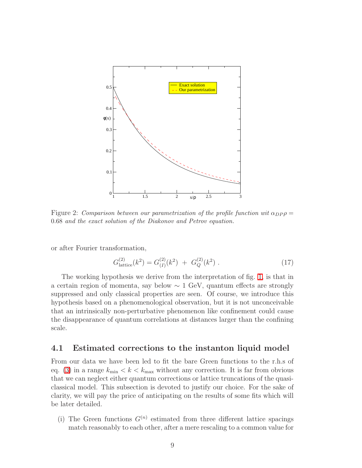

<span id="page-8-0"></span>Figure 2: Comparison between our parametrization of the profile function wit  $\alpha_{DP} \rho =$ 0.68 and the exact solution of the Diakonov and Petrov equation.

or after Fourier transformation,

$$
G_{\text{lattice}}^{(2)}(k^2) = G_{(I)}^{(2)}(k^2) + G_Q^{(2)}(k^2) \tag{17}
$$

The working hypothesis we derive from the interpretation of fig. [1,](#page-4-0) is that in a certain region of momenta, say below ∼ 1 GeV, quantum effects are strongly suppressed and only classical properties are seen. Of course, we introduce this hypothesis based on a phenomenological observation, but it is not unconceivable that an intrinsically non-perturbative phenomenon like confinement could cause the disappearance of quantum correlations at distances larger than the confining scale.

### <span id="page-8-1"></span>4.1 Estimated corrections to the instanton liquid model

From our data we have been led to fit the bare Green functions to the r.h.s of eq. [\(3\)](#page-4-1) in a range  $k_{\text{min}} < k < k_{\text{max}}$  without any correction. It is far from obvious that we can neglect either quantum corrections or lattice truncations of the quasiclassical model. This subsection is devoted to justify our choice. For the sake of clarity, we will pay the price of anticipating on the results of some fits which will be later detailed.

(i) The Green functions  $G^{(n)}$  estimated from three different lattice spacings match reasonably to each other, after a mere rescaling to a common value for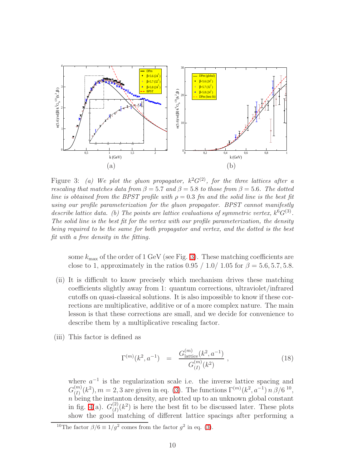

<span id="page-9-0"></span>Figure 3: (a) We plot the gluon propagator,  $k^2G^{(2)}$ , for the three lattices after a rescaling that matches data from  $\beta = 5.7$  and  $\beta = 5.8$  to those from  $\beta = 5.6$ . The dotted line is obtained from the BPST profile with  $\rho = 0.3$  fm and the solid line is the best fit using our profile parameterization for the gluon propagator. BPST cannot manifestly describe lattice data. (b) The points are lattice evaluations of symmetric vertex,  $k^6G^{(3)}$ . The solid line is the best fit for the vertex with our profile parameterization, the density being required to be the same for both propagator and vertex, and the dotted is the best fit with a free density in the fitting.

some  $k_{\text{max}}$  of the order of 1 GeV (see Fig. [3\)](#page-9-0). These matching coefficients are close to 1, approximately in the ratios 0.95 / 1.0/ 1.05 for  $\beta = 5.6, 5.7, 5.8$ .

- (ii) It is difficult to know precisely which mechanism drives these matching coefficients slightly away from 1: quantum corrections, ultraviolet/infrared cutoffs on quasi-classical solutions. It is also impossible to know if these corrections are multiplicative, additive or of a more complex nature. The main lesson is that these corrections are small, and we decide for convenience to describe them by a multiplicative rescaling factor.
- (iii) This factor is defined as

$$
\Gamma^{(m)}(k^2, a^{-1}) = \frac{G_{\text{lattice}}^{(m)}(k^2, a^{-1})}{G_{(I)}^{(m)}(k^2)}, \qquad (18)
$$

<span id="page-9-1"></span>where  $a^{-1}$  is the regularization scale i.e. the inverse lattice spacing and  $G_{(I)}^{(m)}$  $\binom{m}{(I)}(k^2), m = 2, 3$  are given in eq. [\(3\)](#page-4-1). The functions  $\Gamma^{(m)}(k^2, a^{-1}) n \beta/6^{10}$ ,  $n \stackrel{(1)}{\overbrace{\text{being the instanton density, are plotted up to an unknown global constant}}$ in fig. [4\(](#page-10-0)a).  $G^{(2)}_{(I)}$  $\binom{2}{I}(k^2)$  is here the best fit to be discussed later. These plots show the good matching of different lattice spacings after performing a

<sup>&</sup>lt;sup>10</sup>The factor  $\beta/6 \equiv 1/g^2$  comes from the factor  $g^2$  in eq. [\(3\)](#page-4-1).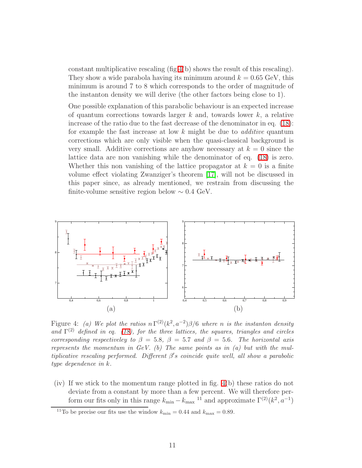constant multiplicative rescaling  $(fig 4(b))$  $(fig 4(b))$  $(fig 4(b))$  shows the result of this rescaling). They show a wide parabola having its minimum around  $k = 0.65$  GeV, this minimum is around 7 to 8 which corresponds to the order of magnitude of the instanton density we will derive (the other factors being close to 1).

One possible explanation of this parabolic behaviour is an expected increase of quantum corrections towards larger  $k$  and, towards lower  $k$ , a relative increase of the ratio due to the fast decrease of the denominator in eq. [\(18\)](#page-9-1): for example the fast increase at low  $k$  might be due to *additive* quantum corrections which are only visible when the quasi-classical background is very small. Additive corrections are anyhow necessary at  $k = 0$  since the lattice data are non vanishing while the denominator of eq. [\(18\)](#page-9-1) is zero. Whether this non vanishing of the lattice propagator at  $k = 0$  is a finite volume effect violating Zwanziger's theorem [\[17\]](#page-30-12), will not be discussed in this paper since, as already mentioned, we restrain from discussing the finite-volume sensitive region below  $\sim 0.4$  GeV.



<span id="page-10-0"></span>Figure 4: (a) We plot the ratios  $n \Gamma^{(2)}(k^2, a^{-2}) \beta/6$  where n is the instanton density and  $\Gamma^{(2)}$  defined in eq. [\(18\)](#page-9-1), for the three lattices, the squares, triangles and circles corresponding respectiveley to  $\beta = 5.8$ ,  $\beta = 5.7$  and  $\beta = 5.6$ . The horizontal axis represents the momentum in  $GeV.$  (b) The same points as in (a) but with the multiplicative rescaling performed. Different  $\beta$ 's coincide quite well, all show a parabolic type dependence in k.

(iv) If we stick to the momentum range plotted in fig. [4\(](#page-10-0)b) these ratios do not deviate from a constant by more than a few percent. We will therefore perform our fits only in this range  $k_{\min} - k_{\max}$ <sup>11</sup> and approximate  $\Gamma^{(2)}(k^2, a^{-1})$ 

<sup>&</sup>lt;sup>11</sup>To be precise our fits use the window  $k_{\text{min}} = 0.44$  and  $k_{\text{max}} = 0.89$ .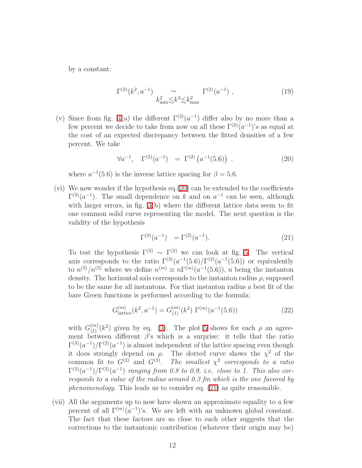by a constant:

$$
\Gamma^{(2)}(k^2, a^{-1}) \sim k_{\min}^2 \lesssim k^2 \lesssim k_{\max}^2 \Gamma^{(2)}(a^{-1}) \tag{19}
$$

(v) Since from fig. [4\(](#page-10-0)a) the different  $\Gamma^{(2)}(a^{-1})$  differ also by no more than a few percent we decide to take from now on all these  $\Gamma^{(2)}(a^{-1})$ 's as equal at the cost of an expected discrepancy between the fitted densities of a few percent. We take

$$
\forall a^{-1}, \quad \Gamma^{(2)}(a^{-1}) = \Gamma^{(2)}(a^{-1}(5.6)) . \tag{20}
$$

<span id="page-11-0"></span>where  $a^{-1}(5.6)$  is the inverse lattice spacing for  $\beta = 5.6$ .

(vi) We now wonder if the hypothesis eq.[\(20\)](#page-11-0) can be extended to the coefficients  $\Gamma^{(3)}(a^{-1})$ . The small dependence on k and on  $a^{-1}$  can be seen, although with larger errors, in fig. [3\(](#page-9-0)b) where the different lattice data seem to fit one common solid curve representing the model. The next question is the validity of the hypothesis

$$
\Gamma^{(3)}(a^{-1}) = \Gamma^{(2)}(a^{-1}). \tag{21}
$$

<span id="page-11-1"></span>To test the hypothesis  $\Gamma^{(3)} \sim \Gamma^{(2)}$  we can look at fig. [5.](#page-13-0) The vertical axis corresponds to the ratio  $\Gamma^{(3)}(a^{-1}(5.6)/\Gamma^{(2)}(a^{-1}(5.6))$  or equivalently to  $n^{(3)}/n^{(2)}$  where we define  $n^{(m)} \equiv n\Gamma^{(m)}(a^{-1}(5.6))$ , n being the instanton density. The horizontal axis corresponds to the instanton radius  $\rho$ , supposed to be the same for all instantons. For that instanton radius a best fit of the bare Green functions is performed according to the formula:

$$
G_{\text{lattice}}^{(m)}(k^2, a^{-1}) = G_{(I)}^{(m)}(k^2) \Gamma^{(m)}(a^{-1}(5.6)) \tag{22}
$$

with  $G_{(I)}^{(m)}$  $\binom{m}{(I)}(k^2)$  given by eq. [\(3\)](#page-4-1). The plot [5](#page-13-0) shows for each  $\rho$  an agreement between different  $\beta$ 's which is a surprise: it tells that the ratio  $\Gamma^{(3)}(a^{-1})/\Gamma^{(2)}(a^{-1})$  is almost independent of the lattice spacing even though it does strongly depend on  $\rho$ . The dotted curve shows the  $\chi^2$  of the common fit to  $G^{(2)}$  and  $G^{(3)}$ . The smallest  $\chi^2$  corresponds to a ratio  $\Gamma^{(3)}(a^{-1})/\Gamma^{(2)}(a^{-1})$  ranging from 0.8 to 0.9, i.e. close to 1. This also corresponds to a value of the radius around 0.3 fm which is the one favored by phenomenology. This leads us to consider eq. [\(21\)](#page-11-1) as quite reasonable.

(vii) All the arguments up to now have shown an approximate equality to a few percent of all  $\Gamma^{(m)}(a^{-1})$ 's. We are left with an unknown global constant. The fact that these factors are so close to each other suggests that the corrections to the instantonic contribution (whatever their origin may be)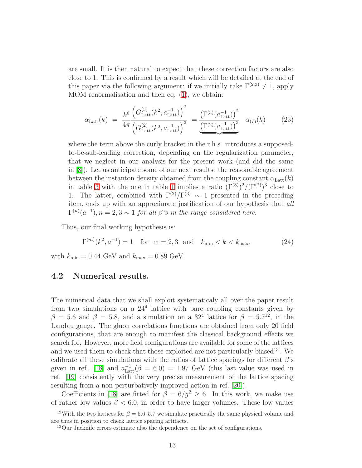are small. It is then natural to expect that these correction factors are also close to 1. This is confirmed by a result which will be detailed at the end of this paper via the following argument: if we initially take  $\Gamma^{(2,3)} \neq 1$ , apply MOM renormalisation and then eq.  $(1)$ , we obtain:

$$
\alpha_{\text{Latt}}(k) = \frac{k^6}{4\pi} \frac{\left(G_{\text{Latt}}^{(3)}(k^2, a_{\text{Latt}}^{-1})\right)^2}{\left(G_{\text{Latt}}^{(2)}(k^2, a_{\text{Latt}}^{-1})\right)^3} = \frac{\left(\Gamma^{(3)}(a_{\text{Latt}}^{-1})\right)^2}{\left(\Gamma^{(2)}(a_{\text{Latt}}^{-1})\right)^3} \quad \alpha_{(I)}(k) \tag{23}
$$

<span id="page-12-1"></span>where the term above the curly bracket in the r.h.s. introduces a supposedto-be-sub-leading correction, depending on the regularization parameter, that we neglect in our analysis for the present work (and did the same in [\[8\]](#page-30-4)). Let us anticipate some of our next results: the reasonable agreement between the instanton density obtained from the coupling constant  $\alpha_{\text{Latt}}(k)$ in table [3](#page-19-0) with the one in table [1](#page-13-1) implies a ratio  $(\Gamma^{(3)})^2/(\Gamma^{(2)})^3$  close to 1. The latter, combined with  $\Gamma^{(2)}/\Gamma^{(3)} \sim 1$  presented in the preceding item, ends up with an approximate justification of our hypothesis that all  $\Gamma^{(n)}(a^{-1}), n = 2, 3 \sim 1$  for all  $\beta$ 's in the range considered here.

Thus, our final working hypothesis is:

$$
\Gamma^{(m)}(k^2, a^{-1}) = 1 \quad \text{for} \quad m = 2, 3 \quad \text{and} \quad k_{\min} < k < k_{\max}.\tag{24}
$$

<span id="page-12-0"></span>with  $k_{\text{min}} = 0.44 \text{ GeV}$  and  $k_{\text{max}} = 0.89 \text{ GeV}$ .

### 4.2 Numerical results.

The numerical data that we shall exploit systematicaly all over the paper result from two simulations on a 24<sup>4</sup> lattice with bare coupling constants given by  $\beta = 5.6$  and  $\beta = 5.8$ , and a simulation on a  $32^4$  lattice for  $\beta = 5.7^{12}$ , in the Landau gauge. The gluon correlations functions are obtained from only 20 field configurations, that are enough to manifest the classical background effects we search for. However, more field configurations are available for some of the lattices and we used them to check that those exploited are not particularly biased<sup>13</sup>. We calibrate all these simulations with the ratios of lattice spacings for different  $\beta$ 's given in ref. [\[18\]](#page-30-13) and  $a_{\text{Latt}}^{-1}(\beta = 6.0) = 1.97 \text{ GeV}$  (this last value was used in ref. [\[19\]](#page-30-14) consistently with the very precise measurement of the lattice spacing resulting from a non-perturbatively improved action in ref. [\[20\]](#page-30-15)).

Coefficients in [\[18\]](#page-30-13) are fitted for  $\beta = 6/q^2 \geq 6$ . In this work, we make use of rather low values  $\beta$  < 6.0, in order to have larger volumes. These low values

<sup>&</sup>lt;sup>12</sup>With the two lattices for  $\beta = 5.6, 5.7$  we simulate practically the same physical volume and are thus in position to check lattice spacing artifacts.

<sup>13</sup>Our Jacknife errors estimate also the dependence on the set of configurations.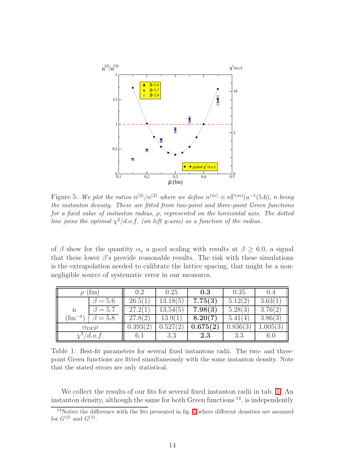

<span id="page-13-0"></span>Figure 5: We plot the ratios  $n^{(3)}/n^{(2)}$  where we define  $n^{(m)} \equiv n \Gamma^{(m)}(a^{-1}(5.6))$ , n being the instanton density. These are fitted from two-point and three-point Green functions for a fixed value of instanton radius, ρ, represented on the horizontal axis. The dotted line joins the optimal  $\chi^2/d.o.f.$  (on left y-axis) as a function of the radius.

of  $\beta$  show for the quantity  $\alpha_s$  a good scaling with results at  $\beta \geq 6.0$ , a signal that these lower  $\beta$ 's provide reasonable results. The risk with these simulations is the extrapolation needed to calibrate the lattice spacing, that might be a nonnegligible source of systematic error in our measures.

| <sub>tm</sub>         |               | 0.2      | 0.25     | 0.3      | 0.35     | 0.4      |
|-----------------------|---------------|----------|----------|----------|----------|----------|
|                       | $\beta = 5.6$ | 26.5(1)  | 13.18(5) | 7.75(3)  | 5.12(2)  | 3.63(1)  |
| n                     | $= 5.7$       | 27.2(1)  | 13.54(5) | 7.98(3)  | 5.28(3)  | 3.76(2)  |
| -4`<br>tm             | $= 5.8$       | 27.8(2)  | 13.9(1)  | 8.20(7)  | 5.41(4)  | 3.86(3)  |
| $\alpha_{\rm DP}\rho$ |               | 0.393(2) | 0.527(2) | 0.675(2) | 0.836(3) | 1.005(3) |
| d.o.f.                |               | 6.1      | 3.3      | 2.3      | 3.3      | 6.0      |

<span id="page-13-1"></span>Table 1: Best-fit parameters for several fixed instantons radii. The two- and threepoint Green functions are fitted simultaneously with the some instanton density. Note that the stated errors are only statistical.

We collect the results of our fits for several fixed instanton radii in tab. [1.](#page-13-1) An instanton density, although the same for both Green functions  $^{14}$ , is independently

 $14$ Notice the difference with the fits presented in fig. [5](#page-13-0) where different densities are assumed for  $G^{(2)}$  and  $G^{(3)}$ .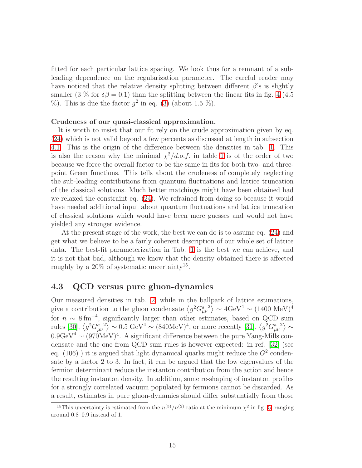fitted for each particular lattice spacing. We look thus for a remnant of a subleading dependence on the regularization parameter. The careful reader may have noticed that the relative density splitting between different  $\beta$ 's is slightly smaller (3 % for  $\delta\beta = 0.1$ ) than the splitting between the linear fits in fig. [4](#page-10-0) (4.5)  $\%$ ). This is due the factor  $g^2$  in eq. [\(3\)](#page-4-1) (about 1.5 %).

#### Crudeness of our quasi-classical approximation.

It is worth to insist that our fit rely on the crude approximation given by eq. [\(24\)](#page-12-0) which is not valid beyond a few percents as discussed at length in subsection [4.1.](#page-8-1) This is the origin of the difference between the densities in tab. [1.](#page-13-1) This is also the reason why the minimal  $\chi^2/d.o.f.$  in table [1](#page-13-1) is of the order of two because we force the overall factor to be the same in fits for both two- and threepoint Green functions. This tells about the crudeness of completely neglecting the sub-leading contributions from quantum fluctuations and lattice truncation of the classical solutions. Much better matchings might have been obtained had we relaxed the constraint eq. [\(24\)](#page-12-0). We refrained from doing so because it would have needed additional input about quantum fluctuations and lattice truncation of classical solutions which would have been mere guesses and would not have yielded any stronger evidence.

At the present stage of the work, the best we can do is to assume eq. [\(24\)](#page-12-0) and get what we believe to be a fairly coherent description of our whole set of lattice data. The best-fit parameterization in Tab. [1](#page-13-1) is the best we can achieve, and it is not that bad, although we know that the density obtained there is affected roughly by a 20% of systematic uncertainty<sup>15</sup>.

### 4.3 QCD versus pure gluon-dynamics

Our measured densities in tab. [2,](#page-18-0) while in the ballpark of lattice estimations, give a contribution to the gluon condensate  $\left\langle g^2 G_{\mu\nu}^a{}^2 \right\rangle \sim 4 {\rm GeV}^4 \sim (1400 \text{ MeV})^4$ for  $n \sim 8 \,\mathrm{fm}^{-4}$ , significantly larger than other estimates, based on QCD sum rules [\[30\]](#page-31-0),  $\langle g^2 G_{\mu\nu}^a{}^2 \rangle \sim 0.5 \text{ GeV}^4 \sim (840 \text{MeV})^4$ , or more recently [\[31\]](#page-31-1),  $\langle g^2 G_{\mu\nu}^a{}^2 \rangle \sim$  $0.9 \text{GeV}^4 \sim (970 \text{MeV})^4$ . A significant difference between the pure Yang-Mills condensate and the one from QCD sum rules is however expected: in ref. [\[32\]](#page-31-2) (see eq. (106)) it is argued that light dynamical quarks might reduce the  $G^2$  condensate by a factor 2 to 3. In fact, it can be argued that the low eigenvalues of the fermion determinant reduce the instanton contribution from the action and hence the resulting instanton density. In addition, some re-shaping of instanton profiles for a strongly correlated vacuum populated by fermions cannot be discarded. As a result, estimates in pure gluon-dynamics should differ substantially from those

<sup>&</sup>lt;sup>15</sup>This uncertainty is estimated from the  $n^{(3)}/n^{(2)}$  ratio at the minimum  $\chi^2$  in fig. [5,](#page-13-0) ranging around 0.8–0.9 instead of 1.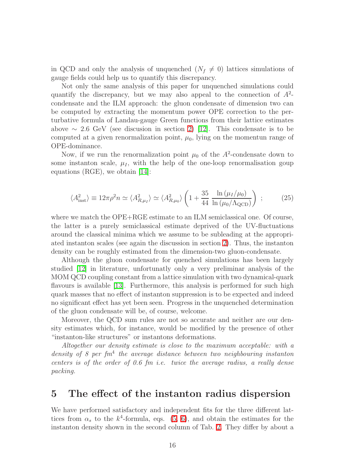in QCD and only the analysis of unquenched  $(N_f \neq 0)$  lattices simulations of gauge fields could help us to quantify this discrepancy.

Not only the same analysis of this paper for unquenched simulations could quantify the discrepancy, but we may also appeal to the connection of  $A^2$ condensate and the ILM approach: the gluon condensate of dimension two can be computed by extracting the momentum power OPE correction to the perturbative formula of Landau-gauge Green functions from their lattice estimates above  $\sim$  2.6 GeV (see discusion in section [2\)](#page-2-1) [\[12\]](#page-30-8). This condensate is to be computed at a given renormalization point,  $\mu_0$ , lying on the momentun range of OPE-dominance.

Now, if we run the renormalization point  $\mu_0$  of the  $A^2$ -condensate down to some instanton scale,  $\mu_I$ , with the help of the one-loop renormalisation goup equations (RGE), we obtain [\[14\]](#page-30-10):

$$
\langle A_{\rm inst}^2 \rangle \equiv 12\pi \rho^2 n \simeq \langle A_{R,\mu_I}^2 \rangle \simeq \langle A_{R,\mu_0}^2 \rangle \left( 1 + \frac{35}{44} \frac{\ln \left( \mu_I / \mu_0 \right)}{\ln \left( \mu_0 / \Lambda_{\rm QCD} \right)} \right) ; \tag{25}
$$

where we match the OPE+RGE estimate to an ILM semiclassical one. Of course, the latter is a purely semiclassical estimate deprived of the UV-fluctuations around the classical minima which we assume to be subleading at the appropriated instanton scales (see again the discussion in section [2\)](#page-2-1). Thus, the instanton density can be roughly estimated from the dimension-two gluon-condensate.

Although the gluon condensate for quenched simulations has been largely studied [\[12\]](#page-30-8) in literature, unfortunatly only a very preliminar analysis of the MOM QCD coupling constant from a lattice simulation with two dynamical-quark flavours is available [\[13\]](#page-30-9). Furthermore, this analysis is performed for such high quark masses that no effect of instanton suppression is to be expected and indeed no significant effect has yet been seen. Progress in the unquenched determination of the gluon condensate will be, of course, welcome.

Moreover, the QCD sum rules are not so accurate and neither are our density estimates which, for instance, would be modified by the presence of other "instanton-like structures" or instantons deformations.

Altogether our density estimate is close to the maximum acceptable: with a density of 8 per  $fm<sup>4</sup>$  the average distance between two neighbouring instanton centers is of the order of 0.6 fm i.e. twice the average radius, a really dense packing.

### <span id="page-15-0"></span>5 The effect of the instanton radius dispersion

We have performed satisfactory and independent fits for the three different lattices from  $\alpha_s$  to the  $k^4$ -formula, eqs. [\(5,](#page-5-3) [6\)](#page-5-0), and obtain the estimates for the instanton density shown in the second column of Tab. [2.](#page-18-0) They differ by about a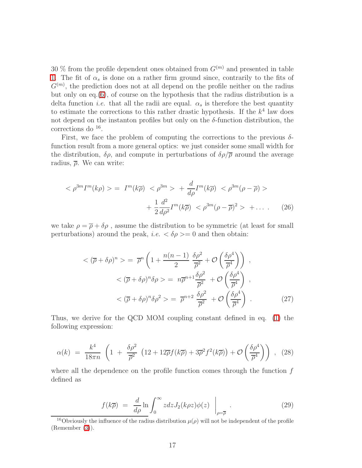30 % from the profile dependent ones obtained from  $G^{(m)}$  and presented in table [1.](#page-13-1) The fit of  $\alpha_s$  is done on a rather firm ground since, contrarily to the fits of  $G<sup>(m)</sup>$ , the prediction does not at all depend on the profile neither on the radius but only on eq.[\(6\)](#page-5-0), of course on the hypothesis that the radius distribution is a delta function *i.e.* that all the radii are equal.  $\alpha_s$  is therefore the best quantity to estimate the corrections to this rather drastic hypothesis. If the  $k^4$  law does not depend on the instanton profiles but only on the  $\delta$ -function distribution, the corrections do <sup>16</sup>.

First, we face the problem of computing the corrections to the previous  $\delta$ function result from a more general optics: we just consider some small width for the distribution,  $\delta \rho$ , and compute in perturbations of  $\delta \rho / \overline{\rho}$  around the average radius,  $\bar{\rho}$ . We can write:

$$
\langle \rho^{3m} I^m(k\rho) \rangle = I^m(k\overline{\rho}) \langle \rho^{3m} \rangle + \frac{d}{d\rho} I^m(k\overline{\rho}) \langle \rho^{3m}(\rho - \overline{\rho}) \rangle
$$

$$
+ \frac{1}{2} \frac{d^2}{d\rho^2} I^m(k\overline{\rho}) \langle \rho^{3m}(\rho - \overline{\rho})^2 \rangle + \dots \qquad (26)
$$

we take  $\rho = \overline{\rho} + \delta \rho$ , assume the distribution to be symmetric (at least for small perturbations) around the peak, *i.e.*  $\langle \delta \rho \rangle = 0$  and then obtain:

$$
\langle (\overline{\rho} + \delta \rho)^n \rangle = \overline{\rho}^n \left( 1 + \frac{n(n-1)}{2} \frac{\delta \rho^2}{\overline{\rho}^2} + \mathcal{O}\left(\frac{\delta \rho^4}{\overline{\rho}^4}\right) \right) ,
$$
  

$$
\langle (\overline{\rho} + \delta \rho)^n \delta \rho \rangle = n \overline{\rho}^{n+1} \frac{\delta \rho^2}{\overline{\rho}^2} + \mathcal{O}\left(\frac{\delta \rho^4}{\overline{\rho}^4}\right) ,
$$
  

$$
\langle (\overline{\rho} + \delta \rho)^n \delta \rho^2 \rangle = \overline{\rho}^{n+2} \frac{\delta \rho^2}{\overline{\rho}^2} + \mathcal{O}\left(\frac{\delta \rho^4}{\overline{\rho}^4}\right) .
$$
 (27)

Thus, we derive for the QCD MOM coupling constant defined in eq. [\(1\)](#page-2-0) the following expression:

$$
\alpha(k) = \frac{k^4}{18\pi n} \left( 1 + \frac{\delta\rho^2}{\overline{\rho}^2} \left( 12 + 12\overline{\rho}f(k\overline{\rho}) + 3\overline{\rho}^2 f^2(k\overline{\rho}) \right) + \mathcal{O}\left(\frac{\delta\rho^4}{\overline{\rho}^4}\right) \right) , \quad (28)
$$

<span id="page-16-1"></span>where all the dependence on the profile function comes through the function  $f$ defined as

$$
f(k\overline{\rho}) = \frac{d}{d\rho} \ln \int_0^\infty z dz J_2(k\rho z) \phi(z) \bigg|_{\rho = \overline{\rho}} . \tag{29}
$$

<span id="page-16-0"></span><sup>&</sup>lt;sup>16</sup>Obviously the influence of the radius distribution  $\mu(\rho)$  will not be independent of the profile (Remember [\(3\)](#page-4-1)).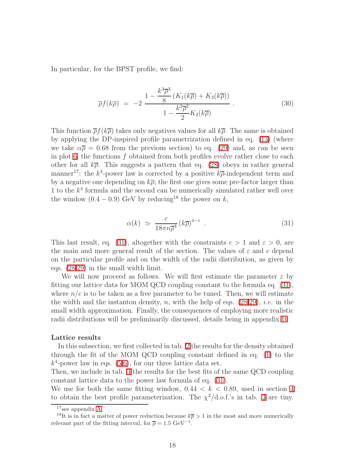In particular, for the BPST profile, we find:

$$
\overline{\rho}f(k\overline{\rho}) = -2 \frac{1 - \frac{k^3 \overline{\rho}^3}{8} \left( K_1(k\overline{\rho}) + K_3(k\overline{\rho}) \right)}{1 - \frac{k^2 \overline{\rho}^2}{2} K_2(k\overline{\rho})} \,. \tag{30}
$$

<span id="page-17-1"></span>This function  $\overline{\rho}f(k\overline{\rho})$  takes only negatives values for all  $k\overline{\rho}$ . The same is obtained by applying the DP-inspired profile parametrization defined in eq. [\(13\)](#page-7-1) (where we take  $\alpha \bar{\rho} = 0.68$  from the previous section) to eq. [\(29\)](#page-16-0) and, as can be seen in plot [6,](#page-18-1) the functions  $f$  obtained from both profiles evolve rather close to each other for all  $k\overline{\rho}$ . This suggests a pattern that eq. [\(28\)](#page-16-1) obeys in rather general manner<sup>17</sup>: the  $k^4$ -power law is corrected by a positive  $k\overline{\rho}$ -independent term and by a negative one depending on  $k\overline{\rho}$ ; the first one gives some pre-factor larger than 1 to the  $k<sup>4</sup>$  formula and the second can be numerically simulated rather well over the window  $(0.4 - 0.9)$  GeV by reducing<sup>18</sup> the power on k,

$$
\alpha(k) \simeq \frac{c}{18\pi n \overline{\rho}^4} \left(k \overline{\rho}\right)^{4-\varepsilon} . \tag{31}
$$

<span id="page-17-0"></span>This last result, eq. [\(31\)](#page-17-0), altogether with the constraints  $c > 1$  and  $\varepsilon > 0$ , are the main and more general result of the section. The values of  $\varepsilon$  and c depend on the particular profile and on the width of the radii distribution, as given by eqs. [\(28](#page-16-1)[,29\)](#page-16-0) in the small width limit.

We will now proceed as follows. We will first estimate the parameter  $\varepsilon$  by fitting our lattice data for MOM QCD coupling constant to the formula eq. [\(31\)](#page-17-0), where  $n/c$  is to be taken as a free parameter to be tuned. Then, we will estimate the width and the instanton density, n, with the help of eqs.  $(28,29)$  $(28,29)$ , *i.e.* in the small width approximation. Finally, the consequences of employing more realistic radii distributions will be preliminarily discussed, details being in appendix [B.](#page-26-0)

#### Lattice results

In this subsection, we first collected in tab. [2](#page-18-0) the results for the density obtained through the fit of the MOM QCD coupling constant defined in eq. [\(1\)](#page-2-0) to the  $k^4$ -power law in eqs.  $(5,6)$  $(5,6)$ , for our three lattice data set.

Then, we include in tab. [3](#page-19-0) the results for the best fits of the same QCD coupling constant lattice data to the power law formula of eq. [\(31\)](#page-17-0).

We use for both the same fitting window,  $0.44 < k < 0.89$ , used in section [4](#page-7-2) to obtain the best profile parameterization. The  $\chi^2/\text{d.o.f.'s}$  in tab. [3](#page-19-0) are tiny.

<sup>17</sup>see appendix [A.](#page-25-0)

<sup>&</sup>lt;sup>18</sup>It is in fact a matter of power reduction because  $k\overline{\rho} > 1$  in the most and more numerically relevant part of the fitting interval, for  $\bar{\rho} = 1.5 \text{ GeV}^{-1}$ .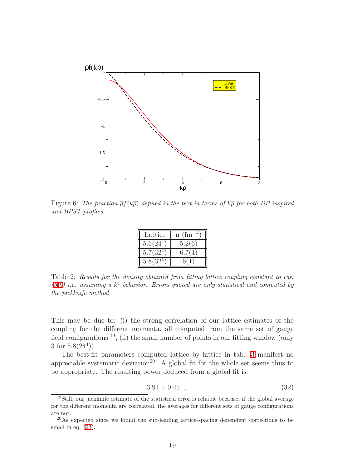

<span id="page-18-1"></span>Figure 6: The function  $\overline{\rho}f(k\overline{\rho})$  defined in the text in terms of  $k\overline{\rho}$  for both DP-inspired and BPST profiles.

| Lattice               | (f <sub>m</sub> )<br>$\mathbf n$ |
|-----------------------|----------------------------------|
| 5.6(24 <sup>4</sup> ) | 5.2(6)                           |
| $5.7(32^{\circ}$      | 6.7(4)                           |
| 5.8(32)               |                                  |

<span id="page-18-0"></span>Table 2: Results for the density obtained from fitting lattice coupling constant to eqs.  $(5,6)$  $(5,6)$  i.e. assuming a  $k^4$  behavior. Errors quoted are only statistical and computed by the jackknife method

This may be due to: (i) the strong correlation of our lattice estimates of the coupling for the different momenta, all computed from the same set of gauge field configurations  $^{19}$ ; (ii) the small number of points in our fitting window (only 3 for  $5.8(24^4)$ .

The best-fit parameters computed lattice by lattice in tab. [3](#page-19-0) manifest no appreciable systematic deviation<sup>20</sup>. A global fit for the whole set seems thus to be appropriate. The resulting power deduced from a global fit is:

$$
3.91 \pm 0.45 \quad , \tag{32}
$$

<sup>&</sup>lt;sup>19</sup>Still, our jackknife estimate of the statistical error is reliable because, if the global average for the different momenta are correlated, the averages for different sets of gauge configurations are not.

 $^{20}$ As expected since we found the sub-leading lattice-spacing dependent corrections to be small in eq.  $(23)$ .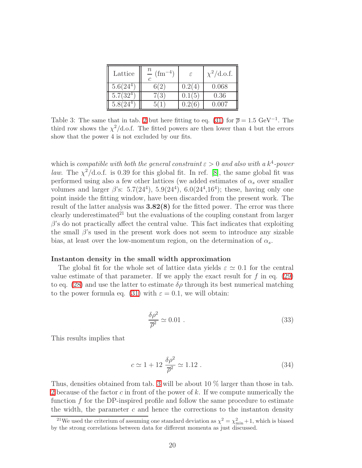| Lattice               | $\, n \,$<br>$(\text{fm}^{-4})$ | ε      | $\chi^2/\text{d.o.f.}$ |
|-----------------------|---------------------------------|--------|------------------------|
| 5.6(24 <sup>4</sup> ) |                                 | 0.2(4) | 0.068                  |
| $5.7(32^4)$           | 7(3                             | 0.1(5) | 0.36                   |
|                       |                                 |        | 007                    |

<span id="page-19-0"></span>Table 3: The same that in tab. [2](#page-18-0) but here fitting to eq. [\(31\)](#page-17-0) for  $\bar{\rho} = 1.5 \text{ GeV}^{-1}$ . The third row shows the  $\chi^2/\text{d.o.f.}$  The fitted powers are then lower than 4 but the errors show that the power 4 is not excluded by our fits.

which is compatible with both the general constraint  $\varepsilon > 0$  and also with a  $k^4$ -power *law*. The  $\chi^2/\text{d.o.f.}$  is 0.39 for this global fit. In ref. [\[8\]](#page-30-4), the same global fit was performed using also a few other lattices (we added estimates of  $\alpha_s$  over smaller volumes and larger  $\beta$ 's: 5.7(24<sup>4</sup>), 5.9(24<sup>4</sup>), 6.0(24<sup>4</sup>,16<sup>4</sup>); these, having only one point inside the fitting window, have been discarded from the present work. The result of the latter analysis was  $3.82(8)$  for the fitted power. The error was there clearly underestimated<sup>21</sup> but the evaluations of the coupling constant from larger  $\beta$ 's do not practically affect the central value. This fact indicates that exploiting the small  $\beta$ 's used in the present work does not seem to introduce any sizable bias, at least over the low-momentum region, on the determination of  $\alpha_s$ .

#### Instanton density in the small width approximation

The global fit for the whole set of lattice data yields  $\varepsilon \simeq 0.1$  for the central value estimate of that parameter. If we apply the exact result for  $f$  in eq. [\(29\)](#page-16-0) to eq. [\(28\)](#page-16-1) and use the latter to estimate  $\delta \rho$  through its best numerical matching to the power formula eq. [\(31\)](#page-17-0) with  $\varepsilon = 0.1$ , we will obtain:

$$
\frac{\delta \rho^2}{\overline{\rho}^2} \simeq 0.01 \tag{33}
$$

This results implies that

$$
c \simeq 1 + 12 \frac{\delta \rho^2}{\overline{\rho}^2} \simeq 1.12 \tag{34}
$$

Thus, densities obtained from tab. [3](#page-19-0) will be about 10 % larger than those in tab. [2](#page-18-0) because of the factor c in front of the power of k. If we compute numerically the function f for the DP-inspired profile and follow the same procedure to estimate the width, the parameter  $c$  and hence the corrections to the instanton density

<sup>&</sup>lt;sup>21</sup>We used the criterium of assuming one standard deviation as  $\chi^2 = \chi^2_{\text{min}} + 1$ , which is biased by the strong correlations between data for different momenta as just discussed.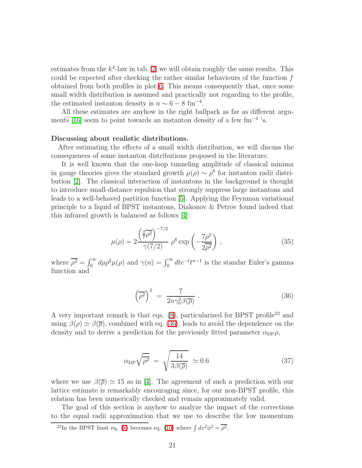estimates from the  $k^4$ -law in tab. [2,](#page-18-0) we will obtain roughly the same results. This could be expected after checking the rather similar behaviours of the function  $f$ obtained from both profiles in plot [6.](#page-18-1) This means consequently that, once some small width distribution is assumed and practically not regarding to the profile, the estimated instanton density is  $n \sim 6 - 8$  fm<sup>-4</sup>.

All these estimates are anyhow in the right ballpark as far as different arguments [\[16\]](#page-30-16) seem to point towards an instanton density of a few fm<sup>−</sup><sup>4</sup> 's.

#### Discussing about realistic distributions.

After estimating the effects of a small width distribution, we will discuss the consequences of some instanton distributions proposed in the literature.

It is well known that the one-loop tunneling amplitude of classical minima in gauge theories gives the standard growth  $\mu(\rho) \sim \rho^6$  for instanton radii distribution [\[2\]](#page-29-1). The classical interaction of instantons in the background is thought to introduce small-distance repulsion that strongly suppress large instantons and leads to a well-behaved partition function [\[5\]](#page-30-1). Applying the Feynman variational principle to a liquid of BPST instantons, Diakonov & Petrov found indeed that this infrared growth is balanced as follows [\[4\]](#page-30-0):

$$
\mu(\rho) = 2 \frac{\left(\frac{2}{7}\overline{\rho^2}\right)^{-7/2}}{\gamma(7/2)} \rho^6 \exp\left(-\frac{7\rho^2}{2\overline{\rho^2}}\right) ,\qquad (35)
$$

<span id="page-20-1"></span>where  $\overline{\rho^2} = \int_0^\infty d\rho \rho^2 \mu(\rho)$  and  $\gamma(n) = \int_0^\infty dt e^{-t} t^{n-1}$  is the standar Euler's gamma function and

<span id="page-20-0"></span>
$$
\left(\overline{\rho^2}\right)^2 = \frac{7}{2n\gamma_0^2 \beta(\overline{\rho})} \ . \tag{36}
$$

A very important remark is that eqs.  $(8)$ , particularized for BPST profile<sup>22</sup> and using  $\beta(\rho) \simeq \beta(\overline{\rho})$ , combined with eq. [\(36\)](#page-20-0), leads to avoid the dependence on the density and to derive a prediction for the previously fitted parameter  $\alpha_{\text{DP}}\rho$ ,

$$
\alpha_{\rm DP} \sqrt{\overline{\rho^2}} = \sqrt{\frac{14}{3\beta(\overline{\rho})}} \simeq 0.6 \tag{37}
$$

<span id="page-20-2"></span>where we use  $\beta(\bar{\rho}) \simeq 15$  as in [\[4\]](#page-30-0). The agreement of such a prediction with our lattice estimate is remarkably encouraging since, for our non-BPST profile, this relation has been numerically checked and remain approximately valid.

The goal of this section is anyhow to analyze the impact of the corrections to the equal radii approximation that we use to describe the low momentum

<sup>&</sup>lt;sup>22</sup>In the BPST limit eq. [\(8\)](#page-5-1) becomes eq. [\(10\)](#page-6-1) where  $\int dx^2 \phi^2 = \overline{\rho^2}$ .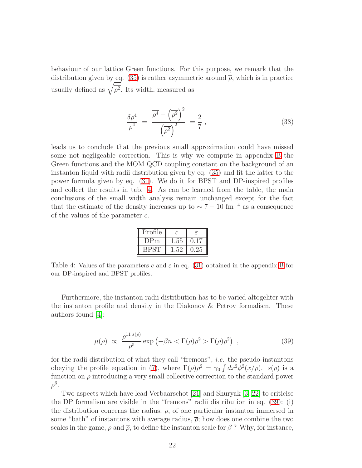behaviour of our lattice Green functions. For this purpose, we remark that the distribution given by eq. [\(35\)](#page-20-1) is rather asymmetric around  $\bar{\rho}$ , which is in practice usually defined as  $\sqrt{\overline{\rho^2}}$ . Its width, measured as

$$
\frac{\delta \rho^4}{\overline{\rho}^4} = \frac{\overline{\rho^4} - (\overline{\rho^2})^2}{(\overline{\rho^2})^2} = \frac{2}{7},\qquad(38)
$$

leads us to conclude that the previous small approximation could have missed some not negligeable correction. This is why we compute in appendix [B](#page-26-0) the Green functions and the MOM QCD coupling constant on the background of an instanton liquid with radii distribution given by eq. [\(35\)](#page-20-1) and fit the latter to the power formula given by eq. [\(31\)](#page-17-0). We do it for BPST and DP-inspired profiles and collect the results in tab. [4.](#page-21-0) As can be learned from the table, the main conclusions of the small width analysis remain unchanged except for the fact that the estimate of the density increases up to  $\sim 7 - 10$  fm<sup>-4</sup> as a consequence of the values of the parameter c.

| Profile | C | ۶ |
|---------|---|---|
| リピm     |   |   |
|         |   |   |

<span id="page-21-0"></span>Table 4: Values of the parameters c and  $\varepsilon$  in eq. [\(31\)](#page-17-0) obtained in the appendix [B](#page-26-0) for our DP-inspired and BPST profiles.

Furthermore, the instanton radii distribution has to be varied altogehter with the instanton profile and density in the Diakonov & Petrov formalism. These authors found [\[4\]](#page-30-0):

$$
\mu(\rho) \propto \frac{\rho^{11 s(\rho)}}{\rho^5} \exp\left(-\beta n < \Gamma(\rho)\rho^2 > \Gamma(\rho)\rho^2\right) \tag{39}
$$

<span id="page-21-1"></span>for the radii distribution of what they call "fremons", i.e. the pseudo-instantons obeying the profile equation in [\(7\)](#page-5-2), where  $\Gamma(\rho)\rho^2 = \gamma_0 \int dx^2 \phi^2(x/\rho)$ .  $s(\rho)$  is a function on  $\rho$  introducing a very small collective correction to the standard power  $\rho^6.$ 

Two aspects which have lead Verbaarschot [\[21\]](#page-30-17) and Shuryak [\[3,](#page-29-2) [22\]](#page-30-18) to criticise the DP formalism are visible in the "fremons" radii distribution in eq. [\(39\)](#page-21-1): (i) the distribution concerns the radius,  $\rho$ , of one particular instanton immersed in some "bath" of instantons with average radius,  $\bar{\rho}$ ; how does one combine the two scales in the game,  $\rho$  and  $\bar{\rho}$ , to define the instanton scale for  $\beta$ ? Why, for instance,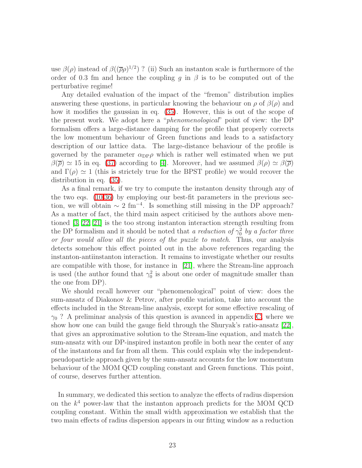use  $\beta(\rho)$  instead of  $\beta((\overline{\rho}\rho)^{1/2})$ ? (ii) Such an instanton scale is furthermore of the order of 0.3 fm and hence the coupling q in  $\beta$  is to be computed out of the perturbative regime!

Any detailed evaluation of the impact of the "fremon" distribution implies answering these questions, in particular knowing the behaviour on  $\rho$  of  $\beta(\rho)$  and how it modifies the gaussian in eq. [\(35\)](#page-20-1). However, this is out of the scope of the present work. We adopt here a "phenomenological" point of view: the DP formalism offers a large-distance damping for the profile that properly corrects the low momentum behaviour of Green functions and leads to a satisfactory description of our lattice data. The large-distance behaviour of the profile is governed by the parameter  $\alpha_{\text{DP}}\rho$  which is rather well estimated when we put  $\beta(\bar{\rho}) \simeq 15$  in eq. [\(37\)](#page-20-2) according to [\[4\]](#page-30-0). Moreover, had we assumed  $\beta(\rho) \simeq \beta(\bar{\rho})$ and  $\Gamma(\rho) \simeq 1$  (this is strictely true for the BPST profile) we would recover the distribution in eq. [\(35\)](#page-20-1).

As a final remark, if we try to compute the instanton density through any of the two eqs. [\(10](#page-6-1)[,36\)](#page-20-0) by employing our best-fit parameters in the previous section, we will obtain  $\sim 2 \text{ fm}^{-4}$ . Is something still missing in the DP approach? As a matter of fact, the third main aspect criticised by the authors above mentioned [\[3,](#page-29-2) [22,](#page-30-18) [21\]](#page-30-17) is the too strong instanton interaction strength resulting from the DP formalism and it should be noted that a reduction of  $\gamma_0^2$  by a factor three or four would allow all the pieces of the puzzle to match. Thus, our analysis detects somehow this effect pointed out in the above references regarding the instanton-antiinstanton interaction. It remains to investigate whether our results are compatible with those, for instance in [\[21\]](#page-30-17), where the Stream-line approach is used (the author found that  $\gamma_0^2$  is about one order of magnitude smaller than the one from DP).

We should recall however our "phenomenological" point of view: does the sum-ansatz of Diakonov & Petrov, after profile variation, take into account the effects included in the Stream-line analysis, except for some effective rescaling of  $\gamma_0$ ? A preliminar analysis of this question is avanced in appendix [C,](#page-28-0) where we show how one can build the gauge field through the Shuryak's ratio-ansatz [\[22\]](#page-30-18), that gives an approximative solution to the Stream-line equation, and match the sum-ansatz with our DP-inspired instanton profile in both near the center of any of the instantons and far from all them. This could explain why the independentpseudoparticle approach given by the sum-ansatz accounts for the low momentum behaviour of the MOM QCD coupling constant and Green functions. This point, of course, deserves further attention.

In summary, we dedicated this section to analyze the effects of radius dispersion on the  $k^4$  power-law that the instanton approach predicts for the MOM QCD coupling constant. Within the small width approximation we establish that the two main effects of radius dispersion appears in our fitting window as a reduction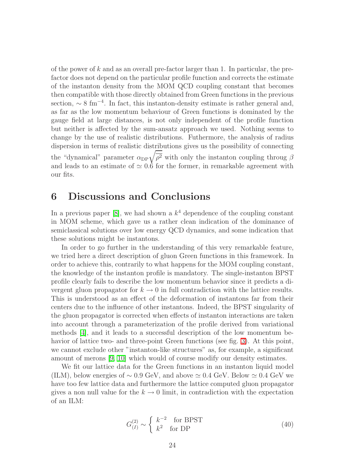of the power of  $k$  and as an overall pre-factor larger than 1. In particular, the prefactor does not depend on the particular profile function and corrects the estimate of the instanton density from the MOM QCD coupling constant that becomes then compatible with those directly obtained from Green functions in the previous section,  $\sim 8 \text{ fm}^{-4}$ . In fact, this instanton-density estimate is rather general and, as far as the low momentum behaviour of Green functions is dominated by the gauge field at large distances, is not only independent of the profile function but neither is affected by the sum-ansatz approach we used. Nothing seems to change by the use of realistic distributions. Futhermore, the analysis of radius dispersion in terms of realistic distributions gives us the possibility of connecting the "dynamical" parameter  $\alpha_{\text{DP}}\sqrt{\overline{\rho^2}}$  with only the instanton coupling throug  $\beta$ and leads to an estimate of  $\simeq 0.6$  for the former, in remarkable agreement with our fits.

### 6 Discussions and Conclusions

In a previous paper [\[8\]](#page-30-4), we had shown a  $k<sup>4</sup>$  dependence of the coupling constant in MOM scheme, which gave us a rather clean indication of the dominance of semiclassical solutions over low energy QCD dynamics, and some indication that these solutions might be instantons.

In order to go further in the understanding of this very remarkable feature, we tried here a direct description of gluon Green functions in this framework. In order to achieve this, contrarily to what happens for the MOM coupling constant, the knowledge of the instanton profile is mandatory. The single-instanton BPST profile clearly fails to describe the low momentum behavior since it predicts a divergent gluon propagator for  $k \to 0$  in full contradiction with the lattice results. This is understood as an effect of the deformation of instantons far from their centers due to the influence of other instantons. Indeed, the BPST singularity of the gluon propagator is corrected when effects of instanton interactions are taken into account through a parameterization of the profile derived from variational methods [\[4\]](#page-30-0), and it leads to a successful description of the low momentum be-havior of lattice two- and three-point Green functions (see fig. [3\)](#page-9-0). At this point, we cannot exclude other "instanton-like structures" as, for example, a significant amount of merons [\[9,](#page-30-5) [10\]](#page-30-6) which would of course modify our density estimates.

We fit our lattice data for the Green functions in an instanton liquid model (ILM), below energies of  $\sim 0.9$  GeV, and above  $\simeq 0.4$  GeV. Below  $\simeq 0.4$  GeV we have too few lattice data and furthermore the lattice computed gluon propagator gives a non null value for the  $k \to 0$  limit, in contradiction with the expectation of an ILM:

$$
G_{(I)}^{(2)} \sim \begin{cases} k^{-2} & \text{for BPST} \\ k^2 & \text{for DP} \end{cases}
$$
 (40)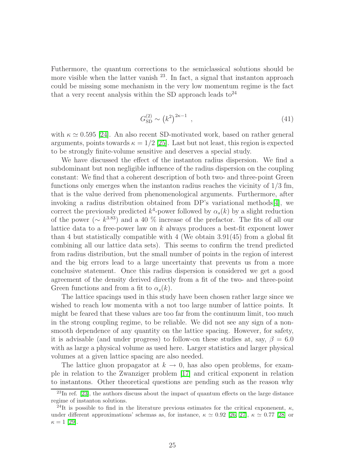Futhermore, the quantum corrections to the semiclassical solutions should be more visible when the latter vanish  $^{23}$ . In fact, a signal that instanton approach could be missing some mechanism in the very low momentum regime is the fact that a very recent analysis within the SD approach leads  $\mathrm{to}^{24}$ 

$$
G_{\rm SD}^{(2)} \sim (k^2)^{2\kappa - 1} \tag{41}
$$

with  $\kappa \simeq 0.595$  [\[24\]](#page-31-3). An also recent SD-motivated work, based on rather general arguments, points towards  $\kappa = 1/2$  [\[25\]](#page-31-4). Last but not least, this region is expected to be strongly finite-volume sensitive and deserves a special study.

We have discussed the effect of the instanton radius dispersion. We find a subdominant but non negligible influence of the radius dispersion on the coupling constant: We find that a coherent description of both two- and three-point Green functions only emerges when the instanton radius reaches the vicinity of 1/3 fm, that is the value derived from phenomenological arguments. Furthermore, after invoking a radius distribution obtained from DP's variational methods[\[4\]](#page-30-0), we correct the previously predicted  $k^4$ -power followed by  $\alpha_s(k)$  by a slight reduction of the power ( $\sim k^{3.83}$ ) and a 40 % increase of the prefactor. The fits of all our lattice data to a free-power law on k always produces a best-fit exponent lower than 4 but statistically compatible with 4 (We obtain 3.91(45) from a global fit combining all our lattice data sets). This seems to confirm the trend predicted from radius distribution, but the small number of points in the region of interest and the big errors lead to a large uncertainty that prevents us from a more conclusive statement. Once this radius dispersion is considered we get a good agreement of the density derived directly from a fit of the two- and three-point Green functions and from a fit to  $\alpha_s(k)$ .

The lattice spacings used in this study have been chosen rather large since we wished to reach low momenta with a not too large number of lattice points. It might be feared that these values are too far from the continuum limit, too much in the strong coupling regime, to be reliable. We did not see any sign of a nonsmooth dependence of any quantity on the lattice spacing. However, for safety, it is advisable (and under progress) to follow-on these studies at, say,  $\beta = 6.0$ with as large a physical volume as used here. Larger statistics and larger physical volumes at a given lattice spacing are also needed.

The lattice gluon propagator at  $k \to 0$ , has also open problems, for example in relation to the Zwanziger problem [\[17\]](#page-30-12) and critical exponent in relation to instantons. Other theoretical questions are pending such as the reason why

<sup>&</sup>lt;sup>23</sup>In ref. [\[23\]](#page-31-5), the authors discuss about the impact of quantum effects on the large distance regime of instanton solutions.

<sup>&</sup>lt;sup>24</sup>It is possible to find in the literature previous estimates for the critical exponenent,  $\kappa$ , under different approximations' schemas as, for instance,  $\kappa \simeq 0.92$  [\[26,](#page-31-6) [27\]](#page-31-7),  $\kappa \simeq 0.77$  [\[28\]](#page-31-8) or  $\kappa = 1$  [\[29\]](#page-31-9).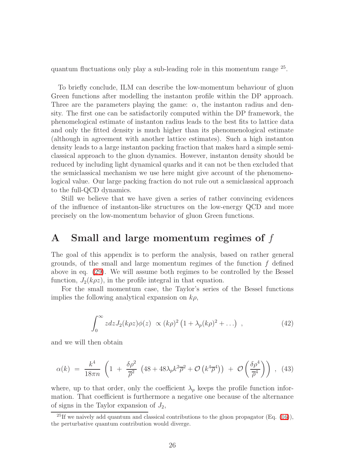quantum fluctuations only play a sub-leading role in this momentum range <sup>25</sup> .

To briefly conclude, ILM can describe the low-momentum behaviour of gluon Green functions after modelling the instanton profile within the DP approach. Three are the parameters playing the game:  $\alpha$ , the instanton radius and density. The first one can be satisfactorily computed within the DP framework, the phenomelogical estimate of instanton radius leads to the best fits to lattice data and only the fitted density is much higher than its phenomenological estimate (although in agreement with another lattice estimates). Such a high instanton density leads to a large instanton packing fraction that makes hard a simple semiclassical approach to the gluon dynamics. However, instanton density should be reduced by including light dynamical quarks and it can not be then excluded that the semiclassical mechanism we use here might give account of the phenomenological value. Our large packing fraction do not rule out a semiclassical approach to the full-QCD dynamics.

Still we believe that we have given a series of rather convincing evidences of the influence of instanton-like structures on the low-energy QCD and more precisely on the low-momentum behavior of gluon Green functions.

### <span id="page-25-0"></span>A Small and large momentum regimes of f

The goal of this appendix is to perform the analysis, based on rather general grounds, of the small and large momentum regimes of the function  $f$  defined above in eq. [\(29\)](#page-16-0). We will assume both regimes to be controlled by the Bessel function,  $J_2(k\rho z)$ , in the profile integral in that equation.

For the small momentum case, the Taylor's series of the Bessel functions implies the following analytical expansion on  $k\rho$ ,

$$
\int_0^\infty z dz J_2(k\rho z) \phi(z) \propto (k\rho)^2 \left(1 + \lambda_p (k\rho)^2 + \ldots \right) , \qquad (42)
$$

<span id="page-25-1"></span>and we will then obtain

$$
\alpha(k) = \frac{k^4}{18\pi n} \left( 1 + \frac{\delta\rho^2}{\overline{\rho}^2} \left( 48 + 48\lambda_p k^2 \overline{\rho}^2 + \mathcal{O}\left(k^4 \overline{\rho}^4\right) \right) + \mathcal{O}\left(\frac{\delta\rho^4}{\overline{\rho}^4}\right) \right) , \tag{43}
$$

<span id="page-25-2"></span>where, up to that order, only the coefficient  $\lambda_p$  keeps the profile function information. That coefficient is furthermore a negative one because of the alternance of signs in the Taylor expansion of  $J_2$ ,

<sup>&</sup>lt;sup>25</sup>If we naively add quantum and classical contributions to the gluon propagator (Eq. [\(16\)](#page-7-3)), the perturbative quantum contribution would diverge.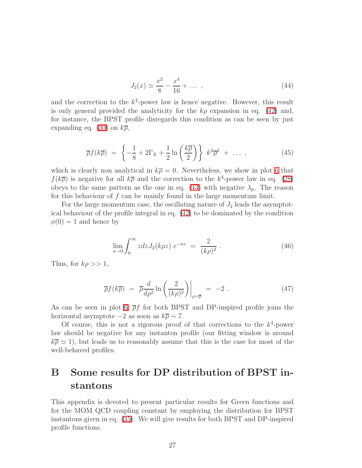$$
J_2(x) \simeq \frac{x^2}{8} - \frac{x^4}{16} + \dots \,,\tag{44}
$$

and the correction to the  $k^4$ -power law is hence negative. However, this result is only general provided the analyticity for the  $k\rho$  expansion in eq. [\(42\)](#page-25-1) and, for instance, the BPST profile disregards this condition as can be seen by just expanding eq. [\(30\)](#page-17-1) on  $k\overline{\rho}$ ,

$$
\overline{\rho}f(k\overline{\rho}) = \left\{-\frac{1}{8} + 2\Gamma_E + \frac{1}{2}\ln\left(\frac{k\overline{\rho}}{2}\right)\right\} k^2\overline{\rho}^2 + \dots \,, \tag{45}
$$

which is clearly non analytical in  $k\overline{\rho} = 0$ . Nevertheless, we show in plot [6](#page-18-1) that  $f(k\overline{\rho})$  is negative for all  $k\overline{\rho}$  and the correction to the  $k^4$ -power law in eq. [\(28\)](#page-16-1) obeys to the same pattern as the one in eq. [\(43\)](#page-25-2) with negative  $\lambda_p$ . The reason for this behaviour of  $f$  can be mainly found in the large momentum limit.

For the large momentum case, the oscillating nature of  $J_2$  leads the asymptotical behaviour of the profile integral in eq. [\(42\)](#page-25-1) to be dominated by the condition  $\phi(0) = 1$  and hence by

$$
\lim_{a \to 0} \int_0^\infty z dz J_2(k\rho z) e^{-az} = \frac{2}{(k\rho)^2} . \tag{46}
$$

Thus, for  $k\rho >> 1$ ,

$$
\overline{\rho}f(k\overline{\rho}) = \overline{\rho}\frac{d}{d\rho^2}\ln\left(\frac{2}{(k\rho)^2}\right)\Big|_{\rho=\overline{\rho}} = -2.
$$
 (47)

As can be seen in plot [6,](#page-18-1)  $\bar{\rho}f$  for both BPST and DP-inspired profile joins the horizontal asymptote  $-2$  as soon as  $k\overline{\rho} \sim 7$ .

Of course, this is not a rigorous proof of that corrections to the  $k^4$ -power law should be negative for any instanton profile (our fitting window is around  $k\bar{\rho} \simeq 1$ , but leads us to reasonably assume that this is the case for most of the well-behaved profiles.

# <span id="page-26-0"></span>B Some results for DP distribution of BPST instantons

This appendix is devoted to present particular results for Green functions and for the MOM QCD coupling constant by employing the distribution for BPST instantons given in eq. [\(35\)](#page-20-1). We will give results for both BPST and DP-inspired profile functions.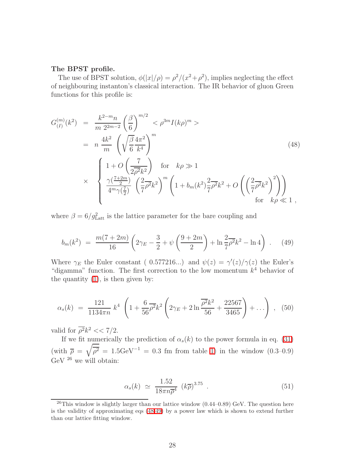#### The BPST profile.

The use of BPST solution,  $\phi(|x|/\rho) = \rho^2/(x^2+\rho^2)$ , implies neglecting the effect of neighbouring instanton's classical interaction. The IR behavior of gluon Green functions for this profile is:

<span id="page-27-0"></span>
$$
G_{(I)}^{(m)}(k^2) = \frac{k^{2-m}n}{m 2^{2m-2}} \left(\frac{\beta}{6}\right)^{m/2} < \rho^{3m} I(k\rho)^m >
$$
  
\n
$$
= n \frac{4k^2}{m} \left(\sqrt{\frac{\beta}{6}} \frac{4\pi^2}{k^4}\right)^m
$$
(48)  
\n
$$
\times \left\{\begin{array}{l}\n1 + O\left(\frac{7}{2\overline{\rho^2}k^2}\right) & \text{for } k\rho \gg 1 \\
\frac{\gamma(\frac{7+2m}{2})}{4^m \gamma(\frac{7}{2})} \left(\frac{2}{7}\overline{\rho^2}k^2\right)^m \left(1 + b_m(k^2)\frac{2}{7}\overline{\rho^2}k^2 + O\left(\left(\frac{2}{7}\overline{\rho^2}k^2\right)^2\right)\right) \\
\text{for } k\rho \ll 1\n\end{array}\right\}
$$

where  $\beta = 6/g_{\text{Latt}}^2$  is the lattice parameter for the bare coupling and

$$
b_m(k^2) = \frac{m(7+2m)}{16} \left( 2\gamma_E - \frac{3}{2} + \psi \left( \frac{9+2m}{2} \right) + \ln \frac{2}{7} \overline{\rho^2} k^2 - \ln 4 \right) . \tag{49}
$$

<span id="page-27-1"></span>Where  $\gamma_E$  the Euler constant ( 0.577216...) and  $\psi(z) = \gamma'(z)/\gamma(z)$  the Euler's "digamma" function. The first correction to the low momentum  $k<sup>4</sup>$  behavior of the quantity  $(1)$ , is then given by:

$$
\alpha_s(k) = \frac{121}{1134\pi n} k^4 \left( 1 + \frac{6}{56} \overline{\rho^2} k^2 \left( 2\gamma_E + 2 \ln \frac{\overline{\rho^2} k^2}{56} + \frac{22567}{3465} \right) + \ldots \right) , \quad (50)
$$

valid for  $\overline{\rho^2}k^2 \ll 7/2$ .

If we fit numerically the prediction of  $\alpha_s(k)$  to the power formula in eq. [\(31\)](#page-17-0) (with  $\overline{\rho} = \sqrt{\overline{\rho^2}} = 1.5 \text{GeV}^{-1} = 0.3$  fm from table [1\)](#page-13-1) in the window (0.3–0.9) GeV  $^{26}$  we will obtain:

$$
\alpha_s(k) \simeq \frac{1.52}{18\pi n \overline{\rho}^4} \left(k \overline{\rho}\right)^{3.75} . \tag{51}
$$

<span id="page-27-2"></span> $^{26}$ This window is slightly larger than our lattice window  $(0.44-0.89)$  GeV. The question here is the validity of approximating eqs [\(48](#page-27-0)[,49\)](#page-27-1) by a power law which is shown to extend further than our lattice fitting window.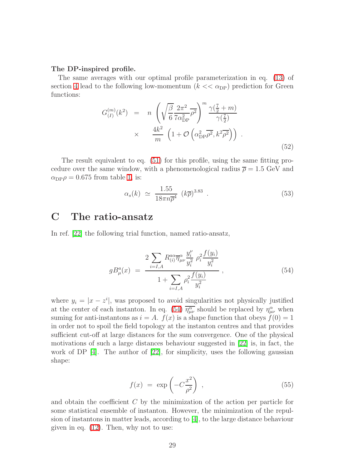#### The DP-inspired profile.

The same averages with our optimal profile parameterization in eq. [\(13\)](#page-7-1) of section [4](#page-7-2) lead to the following low-momentum ( $k << \alpha_{\text{DP}}$ ) prediction for Green functions:

$$
G_{(I)}^{(m)}(k^2) = n \left( \sqrt{\frac{\beta}{6}} \frac{2\pi^2}{7\alpha_{\text{DP}}^2} \right)^m \frac{\gamma(\frac{7}{2} + m)}{\gamma(\frac{7}{2})}
$$
  
 
$$
\times \frac{4k^2}{m} \left( 1 + \mathcal{O}\left(\alpha_{\text{DP}}^2 \overline{\rho^2}, k^2 \overline{\rho^2}\right) \right) . \tag{52}
$$

The result equivalent to eq. [\(51\)](#page-27-2) for this profile, using the same fitting procedure over the same window, with a phenomenological radius  $\bar{\rho} = 1.5$  GeV and  $\alpha_{\rm DP}\rho = 0.675$  from table [1,](#page-13-1) is:

$$
\alpha_s(k) \simeq \frac{1.55}{18\pi n \overline{\rho}^4} \ (\bar{k}\overline{\rho})^{3.83} \ . \tag{53}
$$

### <span id="page-28-0"></span>C The ratio-ansatz

In ref. [\[22\]](#page-30-18) the following trial function, named ratio-ansatz,

$$
gB_{\mu}^{a}(x) = \frac{2\sum_{i=I,A} R_{(i)}^{a\alpha} \overline{\eta}_{\mu\nu}^{\alpha} \frac{y_i^{\nu}}{y_i^2} \rho_i^2 \frac{f(y_i)}{y_i^2}}{1 + \sum_{i=I,A} \rho_i^2 \frac{f(y_i)}{y_i^2}},
$$
\n(54)

<span id="page-28-1"></span>where  $y_i = |x - z^i|$ , was proposed to avoid singularities not physically justified at the center of each instanton. In eq. [\(54\)](#page-28-1)  $\overline{\eta_{\mu\nu}^{\alpha}}$  should be replaced by  $\eta_{\mu\nu}^{\alpha}$  when suming for anti-instantons as  $i = A$ .  $f(x)$  is a shape function that obeys  $f(0) = 1$ in order not to spoil the field topology at the instanton centres and that provides sufficient cut-off at large distances for the sum convergence. One of the physical motivations of such a large distances behaviour suggested in [\[22\]](#page-30-18) is, in fact, the work of DP  $[4]$ . The author of  $[22]$ , for simplicity, uses the following gaussian shape:

$$
f(x) = \exp\left(-C\frac{x^2}{\rho^2}\right) \,,\tag{55}
$$

<span id="page-28-2"></span>and obtain the coefficient C by the minimization of the action per particle for some statistical ensemble of instanton. However, the minimization of the repulsion of instantons in matter leads, according to [\[4\]](#page-30-0), to the large distance behaviour given in eq. [\(12\)](#page-6-2). Then, why not to use: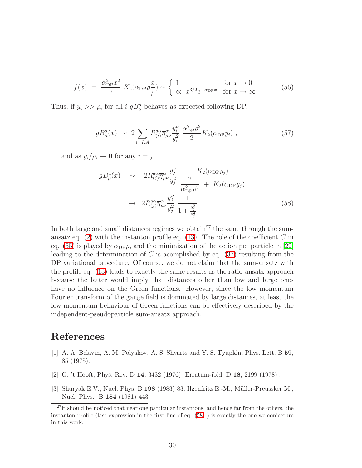$$
f(x) = \frac{\alpha_{\rm DP}^2 x^2}{2} K_2(\alpha_{\rm DP}\rho \frac{x}{\rho}) \sim \begin{cases} 1 & \text{for } x \to 0 \\ \infty & x^{3/2} e^{-\alpha_{\rm DP} x} & \text{for } x \to \infty \end{cases}
$$
(56)

Thus, if  $y_i >> \rho_i$  for all i  $gB_\mu^a$  behaves as expected following DP,

$$
gB^a_\mu(x) \sim 2 \sum_{i=I,A} R^{a\alpha}_{(i)} \overline{\eta}^\alpha_{\mu\nu} \frac{y_i^\nu}{y_i^2} \frac{\alpha_{\rm DP}^2 \rho^2}{2} K_2(\alpha_{\rm DP} y_i) , \qquad (57)
$$

<span id="page-29-3"></span>and as  $y_i/\rho_i \rightarrow 0$  for any  $i = j$ 

$$
gB_{\mu}^{a}(x) \sim 2R_{(j)}^{a\alpha} \overline{\eta}_{\mu\nu}^{\alpha} \frac{y_{j}^{\nu}}{y_{j}^{2}} \frac{K_{2}(\alpha_{\text{DP}} y_{j})}{\alpha_{\text{DP}}^{2} \rho^{2}} + K_{2}(\alpha_{\text{DP}} y_{j})
$$

$$
\rightarrow 2R_{(j)}^{a\alpha} \overline{\eta}_{\mu\nu}^{\alpha} \frac{y_{j}^{\nu}}{y_{j}^{2}} \frac{1}{1 + \frac{y_{j}^{2}}{\rho_{j}^{2}}}.
$$
(58)

In both large and small distances regimes we obtain<sup>27</sup> the same through the sumansatz eq.  $(2)$  with the instanton profile eq.  $(13)$ . The role of the coefficient C in eq. [\(55\)](#page-28-2) is played by  $\alpha_{\text{DP}}\overline{\rho}$ , and the minimization of the action per particle in [\[22\]](#page-30-18) leading to the determination of C is acomplished by eq.  $(37)$  resulting from the DP variational procedure. Of course, we do not claim that the sum-ansatz with the profile eq. [\(13\)](#page-7-1) leads to exactly the same results as the ratio-ansatz approach because the latter would imply that distances other than low and large ones have no influence on the Green functions. However, since the low momentum Fourier transform of the gauge field is dominated by large distances, at least the low-momentum behaviour of Green functions can be effectively described by the independent-pseudoparticle sum-ansatz approach.

### <span id="page-29-0"></span>References

- [1] A. A. Belavin, A. M. Polyakov, A. S. Shvarts and Y. S. Tyupkin, Phys. Lett. B 59, 85 (1975).
- <span id="page-29-2"></span><span id="page-29-1"></span>[2] G. 't Hooft, Phys. Rev. D 14, 3432 (1976) [Erratum-ibid. D 18, 2199 (1978)].
- [3] Shuryak E.V., Nucl. Phys. B  $198$  (1983) 83; Ilgenfritz E.-M., Müller-Preussker M., Nucl. Phys. B 184 (1981) 443.

<sup>&</sup>lt;sup>27</sup>it should be noticed that near one particular instantons, and hence far from the others, the instanton profile (last expression in the first line of eq. [\(58\)](#page-29-3) ) is exactly the one we conjecture in this work.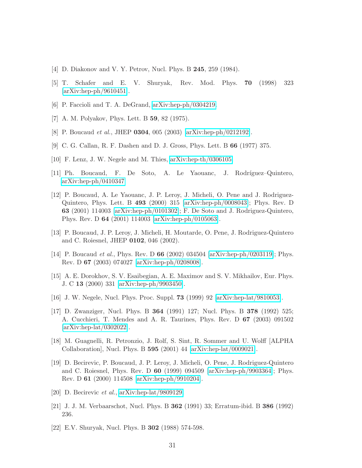- <span id="page-30-1"></span><span id="page-30-0"></span>[4] D. Diakonov and V. Y. Petrov, Nucl. Phys. B 245, 259 (1984).
- <span id="page-30-2"></span>[5] T. Schafer and E. V. Shuryak, Rev. Mod. Phys. 70 (1998) 323 [\[arXiv:hep-ph/9610451\]](http://arxiv.org/abs/hep-ph/9610451).
- <span id="page-30-3"></span>[6] P. Faccioli and T. A. DeGrand, [arXiv:hep-ph/0304219.](http://arxiv.org/abs/hep-ph/0304219)
- <span id="page-30-4"></span>[7] A. M. Polyakov, Phys. Lett. B 59, 82 (1975).
- <span id="page-30-5"></span>[8] P. Boucaud et al., JHEP 0304, 005 (2003) [\[arXiv:hep-ph/0212192\]](http://arxiv.org/abs/hep-ph/0212192).
- <span id="page-30-6"></span>[9] C. G. Callan, R. F. Dashen and D. J. Gross, Phys. Lett. B 66 (1977) 375.
- <span id="page-30-7"></span>[10] F. Lenz, J. W. Negele and M. Thies, [arXiv:hep-th/0306105.](http://arxiv.org/abs/hep-th/0306105)
- <span id="page-30-8"></span>[11] Ph. Boucaud, F. De Soto, A. Le Yaouanc, J. Rodríguez–Quintero, [arXiv:hep-ph/0410347](http://arxiv.org/abs/hep-ph/0410347)
- [12] P. Boucaud, A. Le Yaouanc, J. P. Leroy, J. Micheli, O. Pene and J. Rodriguez-Quintero, Phys. Lett. B 493 (2000) 315 [\[arXiv:hep-ph/0008043\]](http://arxiv.org/abs/hep-ph/0008043); Phys. Rev. D 63 (2001) 114003 [\[arXiv:hep-ph/0101302\]](http://arxiv.org/abs/hep-ph/0101302); F. De Soto and J. Rodriguez-Quintero, Phys. Rev. D 64 (2001) 114003 [\[arXiv:hep-ph/0105063\]](http://arxiv.org/abs/hep-ph/0105063).
- <span id="page-30-9"></span>[13] P. Boucaud, J. P. Leroy, J. Micheli, H. Moutarde, O. Pene, J. Rodriguez-Quintero and C. Roiesnel, JHEP 0102, 046 (2002).
- <span id="page-30-10"></span>[14] P. Boucaud et al., Phys. Rev. D 66 (2002) 034504 [\[arXiv:hep-ph/0203119\]](http://arxiv.org/abs/hep-ph/0203119); Phys. Rev. D 67 (2003) 074027 [\[arXiv:hep-ph/0208008\]](http://arxiv.org/abs/hep-ph/0208008).
- <span id="page-30-11"></span>[15] A. E. Dorokhov, S. V. Esaibegian, A. E. Maximov and S. V. Mikhailov, Eur. Phys. J. C 13 (2000) 331 [\[arXiv:hep-ph/9903450\]](http://arxiv.org/abs/hep-ph/9903450).
- <span id="page-30-16"></span><span id="page-30-12"></span>[16] J. W. Negele, Nucl. Phys. Proc. Suppl. 73 (1999) 92 [\[arXiv:hep-lat/9810053\]](http://arxiv.org/abs/hep-lat/9810053).
- [17] D. Zwanziger, Nucl. Phys. B 364 (1991) 127; Nucl. Phys. B 378 (1992) 525; A. Cucchieri, T. Mendes and A. R. Taurines, Phys. Rev. D 67 (2003) 091502 [\[arXiv:hep-lat/0302022\]](http://arxiv.org/abs/hep-lat/0302022).
- <span id="page-30-13"></span>[18] M. Guagnelli, R. Petronzio, J. Rolf, S. Sint, R. Sommer and U. Wolff [ALPHA Collaboration], Nucl. Phys. B 595 (2001) 44 [\[arXiv:hep-lat/0009021\]](http://arxiv.org/abs/hep-lat/0009021).
- <span id="page-30-14"></span>[19] D. Becirevic, P. Boucaud, J. P. Leroy, J. Micheli, O. Pene, J. Rodriguez-Quintero and C. Roiesnel, Phys. Rev. D 60 (1999) 094509 [\[arXiv:hep-ph/9903364\]](http://arxiv.org/abs/hep-ph/9903364); Phys. Rev. D 61 (2000) 114508 [\[arXiv:hep-ph/9910204\]](http://arxiv.org/abs/hep-ph/9910204).
- <span id="page-30-17"></span><span id="page-30-15"></span>[20] D. Becirevic *et al.*, [arXiv:hep-lat/9809129.](http://arxiv.org/abs/hep-lat/9809129)
- <span id="page-30-18"></span>[21] J. J. M. Verbaarschot, Nucl. Phys. B 362 (1991) 33; Erratum-ibid. B 386 (1992) 236.
- [22] E.V. Shuryak, Nucl. Phys. B 302 (1988) 574-598.